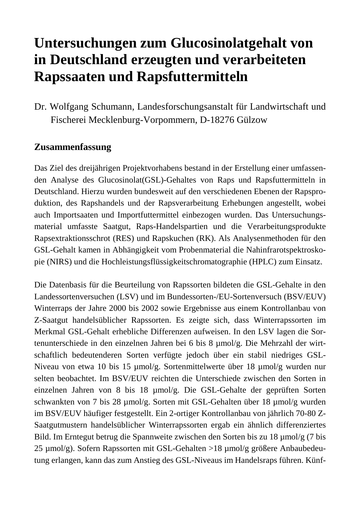# **Untersuchungen zum Glucosinolatgehalt von in Deutschland erzeugten und verarbeiteten Rapssaaten und Rapsfuttermitteln**

Dr. Wolfgang Schumann, Landesforschungsanstalt für Landwirtschaft und Fischerei Mecklenburg-Vorpommern, D-18276 Gülzow

#### **Zusammenfassung**

Das Ziel des dreijährigen Projektvorhabens bestand in der Erstellung einer umfassenden Analyse des Glucosinolat(GSL)-Gehaltes von Raps und Rapsfuttermitteln in Deutschland. Hierzu wurden bundesweit auf den verschiedenen Ebenen der Rapsproduktion, des Rapshandels und der Rapsverarbeitung Erhebungen angestellt, wobei auch Importsaaten und Importfuttermittel einbezogen wurden. Das Untersuchungsmaterial umfasste Saatgut, Raps-Handelspartien und die Verarbeitungsprodukte Rapsextraktionsschrot (RES) und Rapskuchen (RK). Als Analysenmethoden für den GSL-Gehalt kamen in Abhängigkeit vom Probenmaterial die Nahinfrarotspektroskopie (NIRS) und die Hochleistungsflüssigkeitschromatographie (HPLC) zum Einsatz.

Die Datenbasis für die Beurteilung von Rapssorten bildeten die GSL-Gehalte in den Landessortenversuchen (LSV) und im Bundessorten-/EU-Sortenversuch (BSV/EUV) Winterraps der Jahre 2000 bis 2002 sowie Ergebnisse aus einem Kontrollanbau von Z-Saatgut handelsüblicher Rapssorten. Es zeigte sich, dass Winterrapssorten im Merkmal GSL-Gehalt erhebliche Differenzen aufweisen. In den LSV lagen die Sortenunterschiede in den einzelnen Jahren bei 6 bis 8 µmol/g. Die Mehrzahl der wirtschaftlich bedeutenderen Sorten verfügte jedoch über ein stabil niedriges GSL-Niveau von etwa 10 bis 15 µmol/g. Sortenmittelwerte über 18 µmol/g wurden nur selten beobachtet. Im BSV/EUV reichten die Unterschiede zwischen den Sorten in einzelnen Jahren von 8 bis 18 µmol/g. Die GSL-Gehalte der geprüften Sorten schwankten von 7 bis 28 µmol/g. Sorten mit GSL-Gehalten über 18 µmol/g wurden im BSV/EUV häufiger festgestellt. Ein 2-ortiger Kontrollanbau von jährlich 70-80 Z-Saatgutmustern handelsüblicher Winterrapssorten ergab ein ähnlich differenziertes Bild. Im Erntegut betrug die Spannweite zwischen den Sorten bis zu 18 µmol/g (7 bis 25 µmol/g). Sofern Rapssorten mit GSL-Gehalten >18 µmol/g größere Anbaubedeutung erlangen, kann das zum Anstieg des GSL-Niveaus im Handelsraps führen. Künf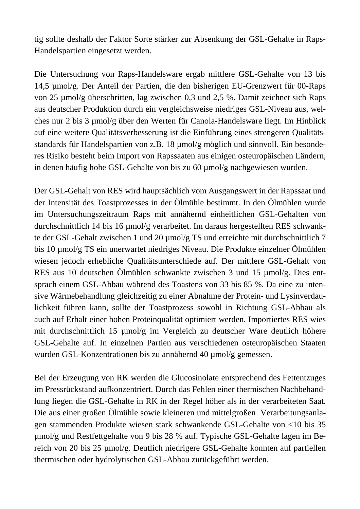tig sollte deshalb der Faktor Sorte stärker zur Absenkung der GSL-Gehalte in Raps-Handelspartien eingesetzt werden.

Die Untersuchung von Raps-Handelsware ergab mittlere GSL-Gehalte von 13 bis 14,5 µmol/g. Der Anteil der Partien, die den bisherigen EU-Grenzwert für 00-Raps von 25 µmol/g überschritten, lag zwischen 0,3 und 2,5 %. Damit zeichnet sich Raps aus deutscher Produktion durch ein vergleichsweise niedriges GSL-Niveau aus, welches nur 2 bis 3 µmol/g über den Werten für Canola-Handelsware liegt. Im Hinblick auf eine weitere Qualitätsverbesserung ist die Einführung eines strengeren Qualitätsstandards für Handelspartien von z.B. 18 µmol/g möglich und sinnvoll. Ein besonderes Risiko besteht beim Import von Rapssaaten aus einigen osteuropäischen Ländern, in denen häufig hohe GSL-Gehalte von bis zu 60 µmol/g nachgewiesen wurden.

Der GSL-Gehalt von RES wird hauptsächlich vom Ausgangswert in der Rapssaat und der Intensität des Toastprozesses in der Ölmühle bestimmt. In den Ölmühlen wurde im Untersuchungszeitraum Raps mit annähernd einheitlichen GSL-Gehalten von durchschnittlich 14 bis 16 µmol/g verarbeitet. Im daraus hergestellten RES schwankte der GSL-Gehalt zwischen 1 und 20 µmol/g TS und erreichte mit durchschnittlich 7 bis 10 µmol/g TS ein unerwartet niedriges Niveau. Die Produkte einzelner Ölmühlen wiesen jedoch erhebliche Qualitätsunterschiede auf. Der mittlere GSL-Gehalt von RES aus 10 deutschen Ölmühlen schwankte zwischen 3 und 15 µmol/g. Dies entsprach einem GSL-Abbau während des Toastens von 33 bis 85 %. Da eine zu intensive Wärmebehandlung gleichzeitig zu einer Abnahme der Protein- und Lysinverdaulichkeit führen kann, sollte der Toastprozess sowohl in Richtung GSL-Abbau als auch auf Erhalt einer hohen Proteinqualität optimiert werden. Importiertes RES wies mit durchschnittlich 15 µmol/g im Vergleich zu deutscher Ware deutlich höhere GSL-Gehalte auf. In einzelnen Partien aus verschiedenen osteuropäischen Staaten wurden GSL-Konzentrationen bis zu annähernd 40 µmol/g gemessen.

Bei der Erzeugung von RK werden die Glucosinolate entsprechend des Fettentzuges im Pressrückstand aufkonzentriert. Durch das Fehlen einer thermischen Nachbehandlung liegen die GSL-Gehalte in RK in der Regel höher als in der verarbeiteten Saat. Die aus einer großen Ölmühle sowie kleineren und mittelgroßen Verarbeitungsanlagen stammenden Produkte wiesen stark schwankende GSL-Gehalte von <10 bis 35 µmol/g und Restfettgehalte von 9 bis 28 % auf. Typische GSL-Gehalte lagen im Bereich von 20 bis 25 µmol/g. Deutlich niedrigere GSL-Gehalte konnten auf partiellen thermischen oder hydrolytischen GSL-Abbau zurückgeführt werden.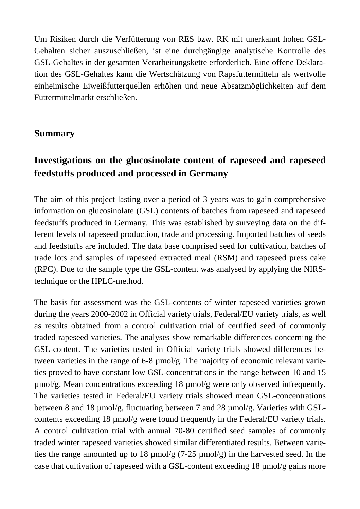Um Risiken durch die Verfütterung von RES bzw. RK mit unerkannt hohen GSL-Gehalten sicher auszuschließen, ist eine durchgängige analytische Kontrolle des GSL-Gehaltes in der gesamten Verarbeitungskette erforderlich. Eine offene Deklaration des GSL-Gehaltes kann die Wertschätzung von Rapsfuttermitteln als wertvolle einheimische Eiweißfutterquellen erhöhen und neue Absatzmöglichkeiten auf dem Futtermittelmarkt erschließen.

#### **Summary**

# **Investigations on the glucosinolate content of rapeseed and rapeseed feedstuffs produced and processed in Germany**

The aim of this project lasting over a period of 3 years was to gain comprehensive information on glucosinolate (GSL) contents of batches from rapeseed and rapeseed feedstuffs produced in Germany. This was established by surveying data on the different levels of rapeseed production, trade and processing. Imported batches of seeds and feedstuffs are included. The data base comprised seed for cultivation, batches of trade lots and samples of rapeseed extracted meal (RSM) and rapeseed press cake (RPC). Due to the sample type the GSL-content was analysed by applying the NIRStechnique or the HPLC-method.

The basis for assessment was the GSL-contents of winter rapeseed varieties grown during the years 2000-2002 in Official variety trials, Federal/EU variety trials, as well as results obtained from a control cultivation trial of certified seed of commonly traded rapeseed varieties. The analyses show remarkable differences concerning the GSL-content. The varieties tested in Official variety trials showed differences between varieties in the range of 6-8 µmol/g. The majority of economic relevant varieties proved to have constant low GSL-concentrations in the range between 10 and 15 µmol/g. Mean concentrations exceeding 18 µmol/g were only observed infrequently. The varieties tested in Federal/EU variety trials showed mean GSL-concentrations between 8 and 18 µmol/g, fluctuating between 7 and 28 µmol/g. Varieties with GSLcontents exceeding 18 µmol/g were found frequently in the Federal/EU variety trials. A control cultivation trial with annual 70-80 certified seed samples of commonly traded winter rapeseed varieties showed similar differentiated results. Between varieties the range amounted up to 18  $\mu$ mol/g (7-25  $\mu$ mol/g) in the harvested seed. In the case that cultivation of rapeseed with a GSL-content exceeding 18 µmol/g gains more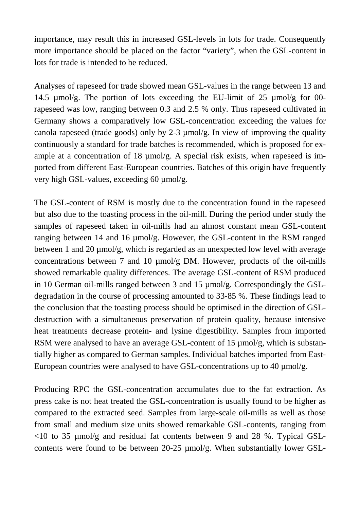importance, may result this in increased GSL-levels in lots for trade. Consequently more importance should be placed on the factor "variety", when the GSL-content in lots for trade is intended to be reduced.

Analyses of rapeseed for trade showed mean GSL-values in the range between 13 and 14.5 µmol/g. The portion of lots exceeding the EU-limit of 25 µmol/g for 00 rapeseed was low, ranging between 0.3 and 2.5 % only. Thus rapeseed cultivated in Germany shows a comparatively low GSL-concentration exceeding the values for canola rapeseed (trade goods) only by 2-3 µmol/g. In view of improving the quality continuously a standard for trade batches is recommended, which is proposed for example at a concentration of 18  $\mu$ mol/g. A special risk exists, when rapeseed is imported from different East-European countries. Batches of this origin have frequently very high GSL-values, exceeding 60 µmol/g.

The GSL-content of RSM is mostly due to the concentration found in the rapeseed but also due to the toasting process in the oil-mill. During the period under study the samples of rapeseed taken in oil-mills had an almost constant mean GSL-content ranging between 14 and 16 µmol/g. However, the GSL-content in the RSM ranged between 1 and 20  $\mu$ mol/g, which is regarded as an unexpected low level with average concentrations between 7 and 10 µmol/g DM. However, products of the oil-mills showed remarkable quality differences. The average GSL-content of RSM produced in 10 German oil-mills ranged between 3 and 15 µmol/g. Correspondingly the GSLdegradation in the course of processing amounted to 33-85 %. These findings lead to the conclusion that the toasting process should be optimised in the direction of GSLdestruction with a simultaneous preservation of protein quality, because intensive heat treatments decrease protein- and lysine digestibility. Samples from imported RSM were analysed to have an average GSL-content of 15  $\mu$ mol/g, which is substantially higher as compared to German samples. Individual batches imported from East-European countries were analysed to have GSL-concentrations up to 40  $\mu$ mol/g.

Producing RPC the GSL-concentration accumulates due to the fat extraction. As press cake is not heat treated the GSL-concentration is usually found to be higher as compared to the extracted seed. Samples from large-scale oil-mills as well as those from small and medium size units showed remarkable GSL-contents, ranging from  $\langle 10 \rangle$  to 35 µmol/g and residual fat contents between 9 and 28 %. Typical GSLcontents were found to be between 20-25 µmol/g. When substantially lower GSL-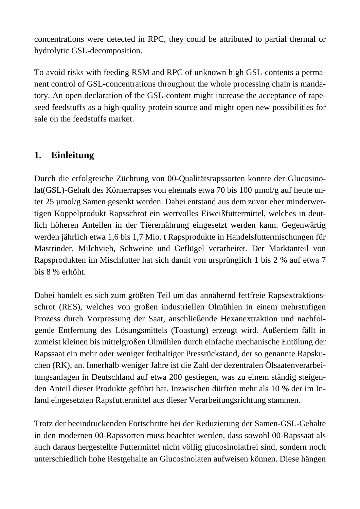concentrations were detected in RPC, they could be attributed to partial thermal or hydrolytic GSL-decomposition.

To avoid risks with feeding RSM and RPC of unknown high GSL-contents a permanent control of GSL-concentrations throughout the whole processing chain is mandatory. An open declaration of the GSL-content might increase the acceptance of rapeseed feedstuffs as a high-quality protein source and might open new possibilities for sale on the feedstuffs market.

# **1. Einleitung**

Durch die erfolgreiche Züchtung von 00-Qualitätsrapssorten konnte der Glucosinolat(GSL)-Gehalt des Körnerrapses von ehemals etwa 70 bis 100 µmol/g auf heute unter 25 µmol/g Samen gesenkt werden. Dabei entstand aus dem zuvor eher minderwertigen Koppelprodukt Rapsschrot ein wertvolles Eiweißfuttermittel, welches in deutlich höheren Anteilen in der Tierernährung eingesetzt werden kann. Gegenwärtig werden jährlich etwa 1,6 bis 1,7 Mio. t Rapsprodukte in Handelsfuttermischungen für Mastrinder, Milchvieh, Schweine und Geflügel verarbeitet. Der Marktanteil von Rapsprodukten im Mischfutter hat sich damit von ursprünglich 1 bis 2 % auf etwa 7 bis 8 % erhöht.

Dabei handelt es sich zum größten Teil um das annähernd fettfreie Rapsextraktionsschrot (RES), welches von großen industriellen Ölmühlen in einem mehrstufigen Prozess durch Vorpressung der Saat, anschließende Hexanextraktion und nachfolgende Entfernung des Lösungsmittels (Toastung) erzeugt wird. Außerdem fällt in zumeist kleinen bis mittelgroßen Ölmühlen durch einfache mechanische Entölung der Rapssaat ein mehr oder weniger fetthaltiger Pressrückstand, der so genannte Rapskuchen (RK), an. Innerhalb weniger Jahre ist die Zahl der dezentralen Ölsaatenverarbeitungsanlagen in Deutschland auf etwa 200 gestiegen, was zu einem ständig steigenden Anteil dieser Produkte geführt hat. Inzwischen dürften mehr als 10 % der im Inland eingesetzten Rapsfuttermittel aus dieser Verarbeitungsrichtung stammen.

Trotz der beeindruckenden Fortschritte bei der Reduzierung der Samen-GSL-Gehalte in den modernen 00-Rapssorten muss beachtet werden, dass sowohl 00-Rapssaat als auch daraus hergestellte Futtermittel nicht völlig glucosinolatfrei sind, sondern noch unterschiedlich hohe Restgehalte an Glucosinolaten aufweisen können. Diese hängen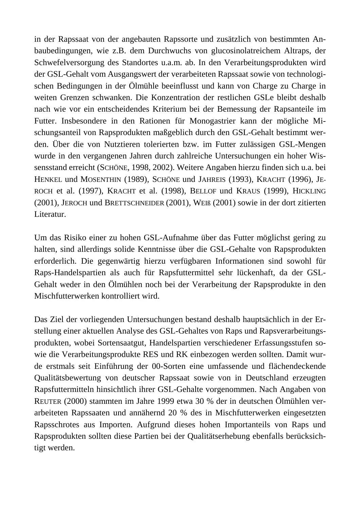in der Rapssaat von der angebauten Rapssorte und zusätzlich von bestimmten Anbaubedingungen, wie z.B. dem Durchwuchs von glucosinolatreichem Altraps, der Schwefelversorgung des Standortes u.a.m. ab. In den Verarbeitungsprodukten wird der GSL-Gehalt vom Ausgangswert der verarbeiteten Rapssaat sowie von technologischen Bedingungen in der Ölmühle beeinflusst und kann von Charge zu Charge in weiten Grenzen schwanken. Die Konzentration der restlichen GSLe bleibt deshalb nach wie vor ein entscheidendes Kriterium bei der Bemessung der Rapsanteile im Futter. Insbesondere in den Rationen für Monogastrier kann der mögliche Mischungsanteil von Rapsprodukten maßgeblich durch den GSL-Gehalt bestimmt werden. Über die von Nutztieren tolerierten bzw. im Futter zulässigen GSL-Mengen wurde in den vergangenen Jahren durch zahlreiche Untersuchungen ein hoher Wissensstand erreicht (SCHÖNE, 1998, 2002). Weitere Angaben hierzu finden sich u.a. bei HENKEL und MOSENTHIN (1989), SCHÖNE und JAHREIS (1993), KRACHT (1996), JE-ROCH et al. (1997), KRACHT et al. (1998), BELLOF und KRAUS (1999), HICKLING (2001), JEROCH und BRETTSCHNEIDER (2001), WEIß (2001) sowie in der dort zitierten Literatur.

Um das Risiko einer zu hohen GSL-Aufnahme über das Futter möglichst gering zu halten, sind allerdings solide Kenntnisse über die GSL-Gehalte von Rapsprodukten erforderlich. Die gegenwärtig hierzu verfügbaren Informationen sind sowohl für Raps-Handelspartien als auch für Rapsfuttermittel sehr lückenhaft, da der GSL-Gehalt weder in den Ölmühlen noch bei der Verarbeitung der Rapsprodukte in den Mischfutterwerken kontrolliert wird.

Das Ziel der vorliegenden Untersuchungen bestand deshalb hauptsächlich in der Erstellung einer aktuellen Analyse des GSL-Gehaltes von Raps und Rapsverarbeitungsprodukten, wobei Sortensaatgut, Handelspartien verschiedener Erfassungsstufen sowie die Verarbeitungsprodukte RES und RK einbezogen werden sollten. Damit wurde erstmals seit Einführung der 00-Sorten eine umfassende und flächendeckende Qualitätsbewertung von deutscher Rapssaat sowie von in Deutschland erzeugten Rapsfuttermitteln hinsichtlich ihrer GSL-Gehalte vorgenommen. Nach Angaben von REUTER (2000) stammten im Jahre 1999 etwa 30 % der in deutschen Ölmühlen verarbeiteten Rapssaaten und annähernd 20 % des in Mischfutterwerken eingesetzten Rapsschrotes aus Importen. Aufgrund dieses hohen Importanteils von Raps und Rapsprodukten sollten diese Partien bei der Qualitätserhebung ebenfalls berücksichtigt werden.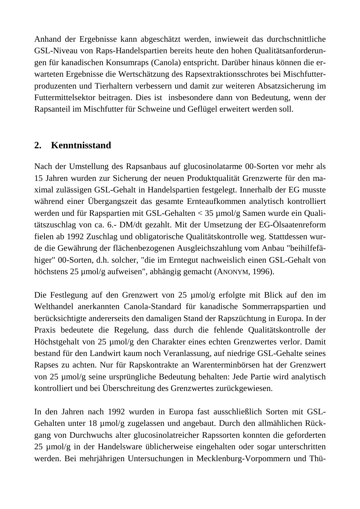Anhand der Ergebnisse kann abgeschätzt werden, inwieweit das durchschnittliche GSL-Niveau von Raps-Handelspartien bereits heute den hohen Qualitätsanforderungen für kanadischen Konsumraps (Canola) entspricht. Darüber hinaus können die erwarteten Ergebnisse die Wertschätzung des Rapsextraktionsschrotes bei Mischfutterproduzenten und Tierhaltern verbessern und damit zur weiteren Absatzsicherung im Futtermittelsektor beitragen. Dies ist insbesondere dann von Bedeutung, wenn der Rapsanteil im Mischfutter für Schweine und Geflügel erweitert werden soll.

#### **2. Kenntnisstand**

Nach der Umstellung des Rapsanbaus auf glucosinolatarme 00-Sorten vor mehr als 15 Jahren wurden zur Sicherung der neuen Produktqualität Grenzwerte für den maximal zulässigen GSL-Gehalt in Handelspartien festgelegt. Innerhalb der EG musste während einer Übergangszeit das gesamte Ernteaufkommen analytisch kontrolliert werden und für Rapspartien mit GSL-Gehalten < 35 µmol/g Samen wurde ein Qualitätszuschlag von ca. 6.- DM/dt gezahlt. Mit der Umsetzung der EG-Ölsaatenreform fielen ab 1992 Zuschlag und obligatorische Qualitätskontrolle weg. Stattdessen wurde die Gewährung der flächenbezogenen Ausgleichszahlung vom Anbau "beihilfefähiger" 00-Sorten, d.h. solcher, "die im Erntegut nachweislich einen GSL-Gehalt von höchstens 25 µmol/g aufweisen", abhängig gemacht (ANONYM, 1996).

Die Festlegung auf den Grenzwert von 25 µmol/g erfolgte mit Blick auf den im Welthandel anerkannten Canola-Standard für kanadische Sommerrapspartien und berücksichtigte andererseits den damaligen Stand der Rapszüchtung in Europa. In der Praxis bedeutete die Regelung, dass durch die fehlende Qualitätskontrolle der Höchstgehalt von 25 µmol/g den Charakter eines echten Grenzwertes verlor. Damit bestand für den Landwirt kaum noch Veranlassung, auf niedrige GSL-Gehalte seines Rapses zu achten. Nur für Rapskontrakte an Warenterminbörsen hat der Grenzwert von 25 µmol/g seine ursprüngliche Bedeutung behalten: Jede Partie wird analytisch kontrolliert und bei Überschreitung des Grenzwertes zurückgewiesen.

In den Jahren nach 1992 wurden in Europa fast ausschließlich Sorten mit GSL-Gehalten unter 18 µmol/g zugelassen und angebaut. Durch den allmählichen Rückgang von Durchwuchs alter glucosinolatreicher Rapssorten konnten die geforderten 25 µmol/g in der Handelsware üblicherweise eingehalten oder sogar unterschritten werden. Bei mehrjährigen Untersuchungen in Mecklenburg-Vorpommern und Thü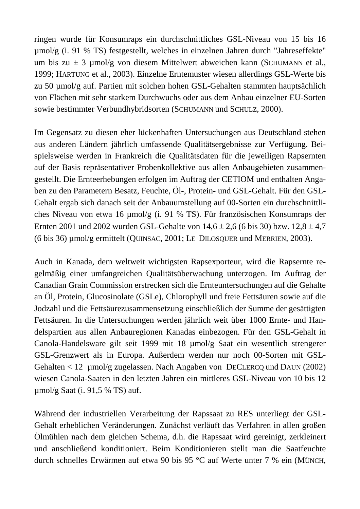ringen wurde für Konsumraps ein durchschnittliches GSL-Niveau von 15 bis 16 µmol/g (i. 91 % TS) festgestellt, welches in einzelnen Jahren durch "Jahreseffekte" um bis zu  $\pm$  3 µmol/g von diesem Mittelwert abweichen kann (SCHUMANN et al., 1999; HARTUNG et al., 2003). Einzelne Erntemuster wiesen allerdings GSL-Werte bis zu 50 µmol/g auf. Partien mit solchen hohen GSL-Gehalten stammten hauptsächlich von Flächen mit sehr starkem Durchwuchs oder aus dem Anbau einzelner EU-Sorten sowie bestimmter Verbundhybridsorten (SCHUMANN und SCHULZ, 2000).

Im Gegensatz zu diesen eher lückenhaften Untersuchungen aus Deutschland stehen aus anderen Ländern jährlich umfassende Qualitätsergebnisse zur Verfügung. Beispielsweise werden in Frankreich die Qualitätsdaten für die jeweiligen Rapsernten auf der Basis repräsentativer Probenkollektive aus allen Anbaugebieten zusammengestellt. Die Ernteerhebungen erfolgen im Auftrag der CETIOM und enthalten Angaben zu den Parametern Besatz, Feuchte, Öl-, Protein- und GSL-Gehalt. Für den GSL-Gehalt ergab sich danach seit der Anbauumstellung auf 00-Sorten ein durchschnittliches Niveau von etwa 16 µmol/g (i. 91 % TS). Für französischen Konsumraps der Ernten 2001 und 2002 wurden GSL-Gehalte von  $14,6 \pm 2,6$  (6 bis 30) bzw.  $12,8 \pm 4,7$ (6 bis 36) µmol/g ermittelt (QUINSAC, 2001; LE DILOSQUER und MERRIEN, 2003).

Auch in Kanada, dem weltweit wichtigsten Rapsexporteur, wird die Rapsernte regelmäßig einer umfangreichen Qualitätsüberwachung unterzogen. Im Auftrag der Canadian Grain Commission erstrecken sich die Ernteuntersuchungen auf die Gehalte an Öl, Protein, Glucosinolate (GSLe), Chlorophyll und freie Fettsäuren sowie auf die Jodzahl und die Fettsäurezusammensetzung einschließlich der Summe der gesättigten Fettsäuren. In die Untersuchungen werden jährlich weit über 1000 Ernte- und Handelspartien aus allen Anbauregionen Kanadas einbezogen. Für den GSL-Gehalt in Canola-Handelsware gilt seit 1999 mit 18 µmol/g Saat ein wesentlich strengerer GSL-Grenzwert als in Europa. Außerdem werden nur noch 00-Sorten mit GSL-Gehalten < 12 µmol/g zugelassen. Nach Angaben von DECLERCQ und DAUN (2002) wiesen Canola-Saaten in den letzten Jahren ein mittleres GSL-Niveau von 10 bis 12 µmol/g Saat (i. 91,5 % TS) auf.

Während der industriellen Verarbeitung der Rapssaat zu RES unterliegt der GSL-Gehalt erheblichen Veränderungen. Zunächst verläuft das Verfahren in allen großen Ölmühlen nach dem gleichen Schema, d.h. die Rapssaat wird gereinigt, zerkleinert und anschließend konditioniert. Beim Konditionieren stellt man die Saatfeuchte durch schnelles Erwärmen auf etwa 90 bis 95 °C auf Werte unter 7 % ein (MÜNCH,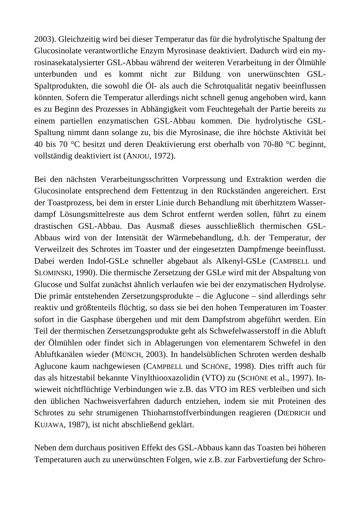2003). Gleichzeitig wird bei dieser Temperatur das für die hydrolytische Spaltung der Glucosinolate verantwortliche Enzym Myrosinase deaktiviert. Dadurch wird ein myrosinasekatalysierter GSL-Abbau während der weiteren Verarbeitung in der Ölmühle unterbunden und es kommt nicht zur Bildung von unerwünschten GSL-Spaltprodukten, die sowohl die Öl- als auch die Schrotqualität negativ beeinflussen könnten. Sofern die Temperatur allerdings nicht schnell genug angehoben wird, kann es zu Beginn des Prozesses in Abhängigkeit vom Feuchtegehalt der Partie bereits zu einem partiellen enzymatischen GSL-Abbau kommen. Die hydrolytische GSL-Spaltung nimmt dann solange zu, bis die Myrosinase, die ihre höchste Aktivität bei 40 bis 70 °C besitzt und deren Deaktivierung erst oberhalb von 70-80 °C beginnt, vollständig deaktiviert ist (ANJOU, 1972).

Bei den nächsten Verarbeitungsschritten Vorpressung und Extraktion werden die Glucosinolate entsprechend dem Fettentzug in den Rückständen angereichert. Erst der Toastprozess, bei dem in erster Linie durch Behandlung mit überhitztem Wasserdampf Lösungsmittelreste aus dem Schrot entfernt werden sollen, führt zu einem drastischen GSL-Abbau. Das Ausmaß dieses ausschließlich thermischen GSL-Abbaus wird von der Intensität der Wärmebehandlung, d.h. der Temperatur, der Verweilzeit des Schrotes im Toaster und der eingesetzten Dampfmenge beeinflusst. Dabei werden Indol-GSLe schneller abgebaut als Alkenyl-GSLe (CAMPBELL und SLOMINSKI, 1990). Die thermische Zersetzung der GSLe wird mit der Abspaltung von Glucose und Sulfat zunächst ähnlich verlaufen wie bei der enzymatischen Hydrolyse. Die primär entstehenden Zersetzungsprodukte – die Aglucone – sind allerdings sehr reaktiv und größtenteils flüchtig, so dass sie bei den hohen Temperaturen im Toaster sofort in die Gasphase übergehen und mit dem Dampfstrom abgeführt werden. Ein Teil der thermischen Zersetzungsprodukte geht als Schwefelwasserstoff in die Abluft der Ölmühlen oder findet sich in Ablagerungen von elementarem Schwefel in den Abluftkanälen wieder (MÜNCH, 2003). In handelsüblichen Schroten werden deshalb Aglucone kaum nachgewiesen (CAMPBELL und SCHÖNE, 1998). Dies trifft auch für das als hitzestabil bekannte Vinylthiooxazolidin (VTO) zu (SCHÖNE et al., 1997). Inwieweit nichtflüchtige Verbindungen wie z.B. das VTO im RES verbleiben und sich den üblichen Nachweisverfahren dadurch entziehen, indem sie mit Proteinen des Schrotes zu sehr strumigenen Thioharnstoffverbindungen reagieren (DIEDRICH und KUJAWA, 1987), ist nicht abschließend geklärt.

Neben dem durchaus positiven Effekt des GSL-Abbaus kann das Toasten bei höheren Temperaturen auch zu unerwünschten Folgen, wie z.B. zur Farbvertiefung der Schro-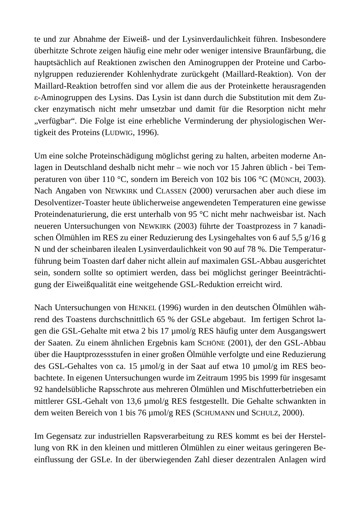te und zur Abnahme der Eiweiß- und der Lysinverdaulichkeit führen. Insbesondere überhitzte Schrote zeigen häufig eine mehr oder weniger intensive Braunfärbung, die hauptsächlich auf Reaktionen zwischen den Aminogruppen der Proteine und Carbonylgruppen reduzierender Kohlenhydrate zurückgeht (Maillard-Reaktion). Von der Maillard-Reaktion betroffen sind vor allem die aus der Proteinkette herausragenden ε-Aminogruppen des Lysins. Das Lysin ist dann durch die Substitution mit dem Zucker enzymatisch nicht mehr umsetzbar und damit für die Resorption nicht mehr "verfügbar". Die Folge ist eine erhebliche Verminderung der physiologischen Wertigkeit des Proteins (LUDWIG, 1996).

Um eine solche Proteinschädigung möglichst gering zu halten, arbeiten moderne Anlagen in Deutschland deshalb nicht mehr – wie noch vor 15 Jahren üblich - bei Temperaturen von über 110 °C, sondern im Bereich von 102 bis 106 °C (MÜNCH, 2003). Nach Angaben von NEWKIRK und CLASSEN (2000) verursachen aber auch diese im Desolventizer-Toaster heute üblicherweise angewendeten Temperaturen eine gewisse Proteindenaturierung, die erst unterhalb von 95 °C nicht mehr nachweisbar ist. Nach neueren Untersuchungen von NEWKIRK (2003) führte der Toastprozess in 7 kanadischen Ölmühlen im RES zu einer Reduzierung des Lysingehaltes von 6 auf 5,5 g/16 g N und der scheinbaren ilealen Lysinverdaulichkeit von 90 auf 78 %. Die Temperaturführung beim Toasten darf daher nicht allein auf maximalen GSL-Abbau ausgerichtet sein, sondern sollte so optimiert werden, dass bei möglichst geringer Beeinträchtigung der Eiweißqualität eine weitgehende GSL-Reduktion erreicht wird.

Nach Untersuchungen von HENKEL (1996) wurden in den deutschen Ölmühlen während des Toastens durchschnittlich 65 % der GSLe abgebaut. Im fertigen Schrot lagen die GSL-Gehalte mit etwa 2 bis 17 µmol/g RES häufig unter dem Ausgangswert der Saaten. Zu einem ähnlichen Ergebnis kam SCHÖNE (2001), der den GSL-Abbau über die Hauptprozessstufen in einer großen Ölmühle verfolgte und eine Reduzierung des GSL-Gehaltes von ca. 15 µmol/g in der Saat auf etwa 10 µmol/g im RES beobachtete. In eigenen Untersuchungen wurde im Zeitraum 1995 bis 1999 für insgesamt 92 handelsübliche Rapsschrote aus mehreren Ölmühlen und Mischfutterbetrieben ein mittlerer GSL-Gehalt von 13,6 µmol/g RES festgestellt. Die Gehalte schwankten in dem weiten Bereich von 1 bis 76 µmol/g RES (SCHUMANN und SCHULZ, 2000).

Im Gegensatz zur industriellen Rapsverarbeitung zu RES kommt es bei der Herstellung von RK in den kleinen und mittleren Ölmühlen zu einer weitaus geringeren Beeinflussung der GSLe. In der überwiegenden Zahl dieser dezentralen Anlagen wird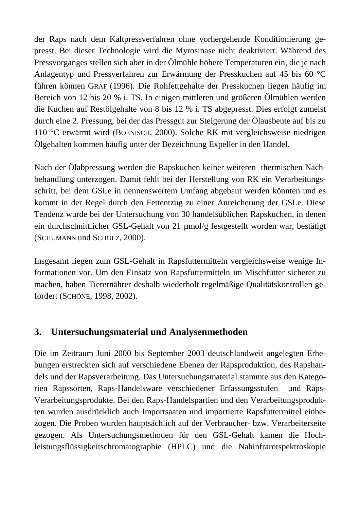der Raps nach dem Kaltpressverfahren ohne vorhergehende Konditionierung gepresst. Bei dieser Technologie wird die Myrosinase nicht deaktiviert. Während des Pressvorganges stellen sich aber in der Ölmühle höhere Temperaturen ein, die je nach Anlagentyp und Pressverfahren zur Erwärmung der Presskuchen auf 45 bis 60 °C führen können GRAF (1996). Die Rohfettgehalte der Presskuchen liegen häufig im Bereich von 12 bis 20 % i. TS. In einigen mittleren und größeren Ölmühlen werden die Kuchen auf Restölgehalte von 8 bis 12 % i. TS abgepresst. Dies erfolgt zumeist durch eine 2. Pressung, bei der das Pressgut zur Steigerung der Ölausbeute auf bis zu 110 °C erwärmt wird (BOENISCH, 2000). Solche RK mit vergleichsweise niedrigen Ölgehalten kommen häufig unter der Bezeichnung Expeller in den Handel.

Nach der Ölabpressung werden die Rapskuchen keiner weiteren thermischen Nachbehandlung unterzogen. Damit fehlt bei der Herstellung von RK ein Verarbeitungsschritt, bei dem GSLe in nennenswertem Umfang abgebaut werden könnten und es kommt in der Regel durch den Fettentzug zu einer Anreicherung der GSLe. Diese Tendenz wurde bei der Untersuchung von 30 handelsüblichen Rapskuchen, in denen ein durchschnittlicher GSL-Gehalt von 21 µmol/g festgestellt worden war, bestätigt (SCHUMANN und SCHULZ, 2000).

Insgesamt liegen zum GSL-Gehalt in Rapsfuttermitteln vergleichsweise wenige Informationen vor. Um den Einsatz von Rapsfuttermitteln im Mischfutter sicherer zu machen, haben Tierernährer deshalb wiederholt regelmäßige Qualitätskontrollen gefordert (SCHÖNE, 1998, 2002).

#### **3. Untersuchungsmaterial und Analysenmethoden**

Die im Zeitraum Juni 2000 bis September 2003 deutschlandweit angelegten Erhebungen erstreckten sich auf verschiedene Ebenen der Rapsproduktion, des Rapshandels und der Rapsverarbeitung. Das Untersuchungsmaterial stammte aus den Kategorien Rapssorten, Raps-Handelsware verschiedener Erfassungsstufen und Raps-Verarbeitungsprodukte. Bei den Raps-Handelspartien und den Verarbeitungsprodukten wurden ausdrücklich auch Importsaaten und importierte Rapsfuttermittel einbezogen. Die Proben wurden hauptsächlich auf der Verbraucher- bzw. Verarbeiterseite gezogen. Als Untersuchungsmethoden für den GSL-Gehalt kamen die Hochleistungsflüssigkeitschromatographie (HPLC) und die Nahinfrarotspektroskopie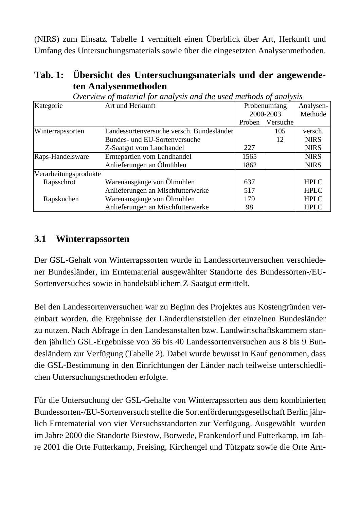(NIRS) zum Einsatz. Tabelle 1 vermittelt einen Überblick über Art, Herkunft und Umfang des Untersuchungsmaterials sowie über die eingesetzten Analysenmethoden.

| Tab. 1: Übersicht des Untersuchungsmaterials und der angewende- |
|-----------------------------------------------------------------|
| ten Analysenmethoden                                            |

| O'rei new of manerian for ananysis and me msea memoas of ananysis |                                           |              |           |             |  |  |
|-------------------------------------------------------------------|-------------------------------------------|--------------|-----------|-------------|--|--|
| Kategorie                                                         | Art und Herkunft                          | Probenumfang | Analysen- |             |  |  |
|                                                                   |                                           |              | 2000-2003 | Methode     |  |  |
|                                                                   |                                           | Proben       | Versuche  |             |  |  |
| Winterrapssorten                                                  | Landessortenversuche versch. Bundesländer |              | 105       | versch.     |  |  |
|                                                                   | Bundes- und EU-Sortenversuche             |              | 12        | <b>NIRS</b> |  |  |
|                                                                   | Z-Saatgut vom Landhandel                  | 227          |           | <b>NIRS</b> |  |  |
| Raps-Handelsware                                                  | Erntepartien vom Landhandel               | 1565         |           | <b>NIRS</b> |  |  |
|                                                                   | Anlieferungen an Ölmühlen                 | 1862         |           | <b>NIRS</b> |  |  |
| Verarbeitungsprodukte                                             |                                           |              |           |             |  |  |
| Rapsschrot                                                        | Warenausgänge von Ölmühlen                | 637          |           | <b>HPLC</b> |  |  |
|                                                                   | Anlieferungen an Mischfutterwerke         | 517          |           | <b>HPLC</b> |  |  |
| Rapskuchen                                                        | Warenausgänge von Ölmühlen                | 179          |           | <b>HPLC</b> |  |  |
|                                                                   | Anlieferungen an Mischfutterwerke         | 98           |           | <b>HPLC</b> |  |  |

 *Overview of material for analysis and the used methods of analysis* 

#### **3.1 Winterrapssorten**

Der GSL-Gehalt von Winterrapssorten wurde in Landessortenversuchen verschiedener Bundesländer, im Erntematerial ausgewählter Standorte des Bundessorten-/EU-Sortenversuches sowie in handelsüblichem Z-Saatgut ermittelt.

Bei den Landessortenversuchen war zu Beginn des Projektes aus Kostengründen vereinbart worden, die Ergebnisse der Länderdienststellen der einzelnen Bundesländer zu nutzen. Nach Abfrage in den Landesanstalten bzw. Landwirtschaftskammern standen jährlich GSL-Ergebnisse von 36 bis 40 Landessortenversuchen aus 8 bis 9 Bundesländern zur Verfügung (Tabelle 2). Dabei wurde bewusst in Kauf genommen, dass die GSL-Bestimmung in den Einrichtungen der Länder nach teilweise unterschiedlichen Untersuchungsmethoden erfolgte.

Für die Untersuchung der GSL-Gehalte von Winterrapssorten aus dem kombinierten Bundessorten-/EU-Sortenversuch stellte die Sortenförderungsgesellschaft Berlin jährlich Erntematerial von vier Versuchsstandorten zur Verfügung. Ausgewählt wurden im Jahre 2000 die Standorte Biestow, Borwede, Frankendorf und Futterkamp, im Jahre 2001 die Orte Futterkamp, Freising, Kirchengel und Tützpatz sowie die Orte Arn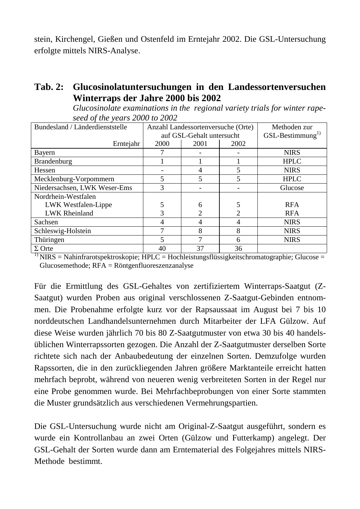stein, Kirchengel, Gießen und Ostenfeld im Erntejahr 2002. Die GSL-Untersuchung erfolgte mittels NIRS-Analyse.

#### **Tab. 2: Glucosinolatuntersuchungen in den Landessortenversuchen Winterraps der Jahre 2000 bis 2002**

| seed of the years 2000 to 2002  |      |                                    |                |                    |  |  |  |  |
|---------------------------------|------|------------------------------------|----------------|--------------------|--|--|--|--|
| Bundesland / Länderdienststelle |      | Anzahl Landessortenversuche (Orte) | Methoden zur   |                    |  |  |  |  |
|                                 |      | auf GSL-Gehalt untersucht          |                | $GSL-Bestimumung1$ |  |  |  |  |
| Erntejahr                       | 2000 | 2001                               | 2002           |                    |  |  |  |  |
| Bayern                          |      |                                    |                | <b>NIRS</b>        |  |  |  |  |
| Brandenburg                     |      |                                    |                | <b>HPLC</b>        |  |  |  |  |
| Hessen                          |      | 4                                  | 5              | <b>NIRS</b>        |  |  |  |  |
| Mecklenburg-Vorpommern          | 5    | 5                                  | 5              | <b>HPLC</b>        |  |  |  |  |
| Niedersachsen, LWK Weser-Ems    | 3    |                                    |                | Glucose            |  |  |  |  |
| Nordrhein-Westfalen             |      |                                    |                |                    |  |  |  |  |
| LWK Westfalen-Lippe             |      | 6                                  | 5              | <b>RFA</b>         |  |  |  |  |
| <b>LWK Rheinland</b>            |      | $\overline{2}$                     | $\overline{2}$ | <b>RFA</b>         |  |  |  |  |
| Sachsen                         | 4    | 4                                  | 4              | <b>NIRS</b>        |  |  |  |  |
| Schleswig-Holstein              | 7    | 8                                  | 8              | <b>NIRS</b>        |  |  |  |  |
| Thüringen                       | 5    | 7                                  | 6              | <b>NIRS</b>        |  |  |  |  |
| $\Sigma$ Orte                   | 40   | 37                                 | 36             |                    |  |  |  |  |

 *Glucosinolate examinations in the regional variety trials for winter rapeseed of the years 2000 to 2002* 

 $1)$  NIRS = Nahinfrarotspektroskopie; HPLC = Hochleistungsflüssigkeitschromatographie; Glucose = Glucosemethode; RFA = Röntgenfluoreszenzanalyse

Für die Ermittlung des GSL-Gehaltes von zertifiziertem Winterraps-Saatgut (Z-Saatgut) wurden Proben aus original verschlossenen Z-Saatgut-Gebinden entnommen. Die Probenahme erfolgte kurz vor der Rapsaussaat im August bei 7 bis 10 norddeutschen Landhandelsunternehmen durch Mitarbeiter der LFA Gülzow. Auf diese Weise wurden jährlich 70 bis 80 Z-Saatgutmuster von etwa 30 bis 40 handelsüblichen Winterrapssorten gezogen. Die Anzahl der Z-Saatgutmuster derselben Sorte richtete sich nach der Anbaubedeutung der einzelnen Sorten. Demzufolge wurden Rapssorten, die in den zurückliegenden Jahren größere Marktanteile erreicht hatten mehrfach beprobt, während von neueren wenig verbreiteten Sorten in der Regel nur eine Probe genommen wurde. Bei Mehrfachbeprobungen von einer Sorte stammten die Muster grundsätzlich aus verschiedenen Vermehrungspartien.

Die GSL-Untersuchung wurde nicht am Original-Z-Saatgut ausgeführt, sondern es wurde ein Kontrollanbau an zwei Orten (Gülzow und Futterkamp) angelegt. Der GSL-Gehalt der Sorten wurde dann am Erntematerial des Folgejahres mittels NIRS-Methode bestimmt.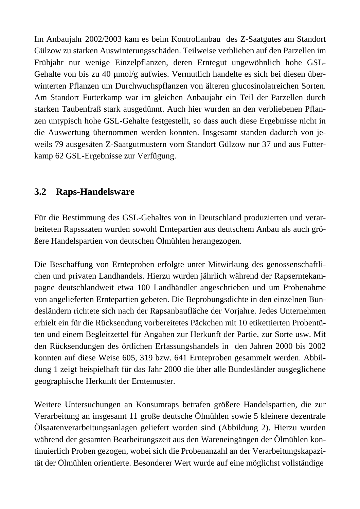Im Anbaujahr 2002/2003 kam es beim Kontrollanbau des Z-Saatgutes am Standort Gülzow zu starken Auswinterungsschäden. Teilweise verblieben auf den Parzellen im Frühjahr nur wenige Einzelpflanzen, deren Erntegut ungewöhnlich hohe GSL-Gehalte von bis zu 40 µmol/g aufwies. Vermutlich handelte es sich bei diesen überwinterten Pflanzen um Durchwuchspflanzen von älteren glucosinolatreichen Sorten. Am Standort Futterkamp war im gleichen Anbaujahr ein Teil der Parzellen durch starken Taubenfraß stark ausgedünnt. Auch hier wurden an den verbliebenen Pflanzen untypisch hohe GSL-Gehalte festgestellt, so dass auch diese Ergebnisse nicht in die Auswertung übernommen werden konnten. Insgesamt standen dadurch von jeweils 79 ausgesäten Z-Saatgutmustern vom Standort Gülzow nur 37 und aus Futterkamp 62 GSL-Ergebnisse zur Verfügung.

#### **3.2 Raps-Handelsware**

Für die Bestimmung des GSL-Gehaltes von in Deutschland produzierten und verarbeiteten Rapssaaten wurden sowohl Erntepartien aus deutschem Anbau als auch größere Handelspartien von deutschen Ölmühlen herangezogen.

Die Beschaffung von Ernteproben erfolgte unter Mitwirkung des genossenschaftlichen und privaten Landhandels. Hierzu wurden jährlich während der Rapserntekampagne deutschlandweit etwa 100 Landhändler angeschrieben und um Probenahme von angelieferten Erntepartien gebeten. Die Beprobungsdichte in den einzelnen Bundesländern richtete sich nach der Rapsanbaufläche der Vorjahre. Jedes Unternehmen erhielt ein für die Rücksendung vorbereitetes Päckchen mit 10 etikettierten Probentüten und einem Begleitzettel für Angaben zur Herkunft der Partie, zur Sorte usw. Mit den Rücksendungen des örtlichen Erfassungshandels in den Jahren 2000 bis 2002 konnten auf diese Weise 605, 319 bzw. 641 Ernteproben gesammelt werden. Abbildung 1 zeigt beispielhaft für das Jahr 2000 die über alle Bundesländer ausgeglichene geographische Herkunft der Erntemuster.

Weitere Untersuchungen an Konsumraps betrafen größere Handelspartien, die zur Verarbeitung an insgesamt 11 große deutsche Ölmühlen sowie 5 kleinere dezentrale Ölsaatenverarbeitungsanlagen geliefert worden sind (Abbildung 2). Hierzu wurden während der gesamten Bearbeitungszeit aus den Wareneingängen der Ölmühlen kontinuierlich Proben gezogen, wobei sich die Probenanzahl an der Verarbeitungskapazität der Ölmühlen orientierte. Besonderer Wert wurde auf eine möglichst vollständige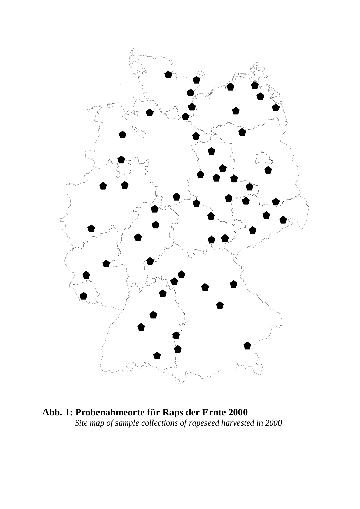

**Abb. 1: Probenahmeorte für Raps der Ernte 2000**  *Site map of sample collections of rapeseed harvested in 2000*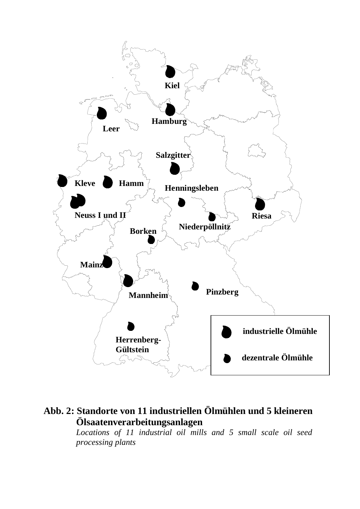

# **Abb. 2: Standorte von 11 industriellen Ölmühlen und 5 kleineren Ölsaatenverarbeitungsanlagen**

*Locations of 11 industrial oil mills and 5 small scale oil seed processing plants*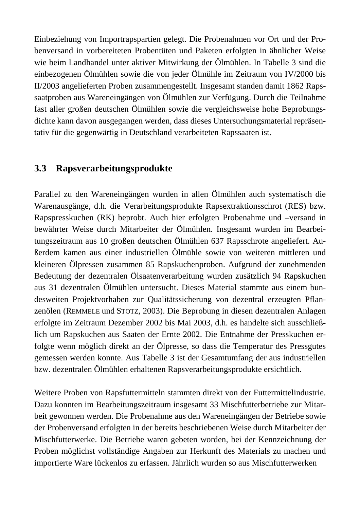Einbeziehung von Importrapspartien gelegt. Die Probenahmen vor Ort und der Probenversand in vorbereiteten Probentüten und Paketen erfolgten in ähnlicher Weise wie beim Landhandel unter aktiver Mitwirkung der Ölmühlen. In Tabelle 3 sind die einbezogenen Ölmühlen sowie die von jeder Ölmühle im Zeitraum von IV/2000 bis II/2003 angelieferten Proben zusammengestellt. Insgesamt standen damit 1862 Rapssaatproben aus Wareneingängen von Ölmühlen zur Verfügung. Durch die Teilnahme fast aller großen deutschen Ölmühlen sowie die vergleichsweise hohe Beprobungsdichte kann davon ausgegangen werden, dass dieses Untersuchungsmaterial repräsentativ für die gegenwärtig in Deutschland verarbeiteten Rapssaaten ist.

#### **3.3 Rapsverarbeitungsprodukte**

Parallel zu den Wareneingängen wurden in allen Ölmühlen auch systematisch die Warenausgänge, d.h. die Verarbeitungsprodukte Rapsextraktionsschrot (RES) bzw. Rapspresskuchen (RK) beprobt. Auch hier erfolgten Probenahme und –versand in bewährter Weise durch Mitarbeiter der Ölmühlen. Insgesamt wurden im Bearbeitungszeitraum aus 10 großen deutschen Ölmühlen 637 Rapsschrote angeliefert. Außerdem kamen aus einer industriellen Ölmühle sowie von weiteren mittleren und kleineren Ölpressen zusammen 85 Rapskuchenproben. Aufgrund der zunehmenden Bedeutung der dezentralen Ölsaatenverarbeitung wurden zusätzlich 94 Rapskuchen aus 31 dezentralen Ölmühlen untersucht. Dieses Material stammte aus einem bundesweiten Projektvorhaben zur Qualitätssicherung von dezentral erzeugten Pflanzenölen (REMMELE und STOTZ, 2003). Die Beprobung in diesen dezentralen Anlagen erfolgte im Zeitraum Dezember 2002 bis Mai 2003, d.h. es handelte sich ausschließlich um Rapskuchen aus Saaten der Ernte 2002. Die Entnahme der Presskuchen erfolgte wenn möglich direkt an der Ölpresse, so dass die Temperatur des Pressgutes gemessen werden konnte. Aus Tabelle 3 ist der Gesamtumfang der aus industriellen bzw. dezentralen Ölmühlen erhaltenen Rapsverarbeitungsprodukte ersichtlich.

Weitere Proben von Rapsfuttermitteln stammten direkt von der Futtermittelindustrie. Dazu konnten im Bearbeitungszeitraum insgesamt 33 Mischfutterbetriebe zur Mitarbeit gewonnen werden. Die Probenahme aus den Wareneingängen der Betriebe sowie der Probenversand erfolgten in der bereits beschriebenen Weise durch Mitarbeiter der Mischfutterwerke. Die Betriebe waren gebeten worden, bei der Kennzeichnung der Proben möglichst vollständige Angaben zur Herkunft des Materials zu machen und importierte Ware lückenlos zu erfassen. Jährlich wurden so aus Mischfutterwerken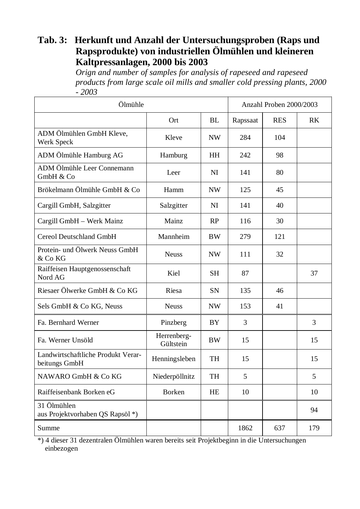## **Tab. 3: Herkunft und Anzahl der Untersuchungsproben (Raps und Rapsprodukte) von industriellen Ölmühlen und kleineren Kaltpressanlagen, 2000 bis 2003**

*Orign and number of samples for analysis of rapeseed and rapeseed products from large scale oil mills and smaller cold pressing plants, 2000 - 2003*

| Ölmühle                                             | Anzahl Proben 2000/2003  |           |          |            |                |
|-----------------------------------------------------|--------------------------|-----------|----------|------------|----------------|
|                                                     | Ort                      | <b>BL</b> | Rapssaat | <b>RES</b> | R <sub>K</sub> |
| ADM Ölmühlen GmbH Kleve,<br>Werk Speck              | Kleve                    | <b>NW</b> | 284      | 104        |                |
| ADM Ölmühle Hamburg AG                              | Hamburg                  | HH        | 242      | 98         |                |
| ADM Ölmühle Leer Connemann<br>GmbH & Co             | Leer                     | NI        | 141      | 80         |                |
| Brökelmann Ölmühle GmbH & Co                        | Hamm                     | <b>NW</b> | 125      | 45         |                |
| Cargill GmbH, Salzgitter                            | Salzgitter               | NI        | 141      | 40         |                |
| Cargill GmbH - Werk Mainz                           | Mainz                    | RP        | 116      | 30         |                |
| <b>Cereol Deutschland GmbH</b>                      | Mannheim                 | <b>BW</b> | 279      | 121        |                |
| Protein- und Ölwerk Neuss GmbH<br>& Co KG           | <b>Neuss</b>             | <b>NW</b> | 111      | 32         |                |
| Raiffeisen Hauptgenossenschaft<br>Nord AG           | Kiel                     | <b>SH</b> | 87       |            | 37             |
| Riesaer Ölwerke GmbH & Co KG                        | Riesa                    | SN        | 135      | 46         |                |
| Sels GmbH & Co KG, Neuss                            | <b>Neuss</b>             | <b>NW</b> | 153      | 41         |                |
| Fa. Bernhard Werner                                 | Pinzberg                 | BY        | 3        |            | 3              |
| Fa. Werner Unsöld                                   | Herrenberg-<br>Gültstein | <b>BW</b> | 15       |            | 15             |
| Landwirtschaftliche Produkt Verar-<br>beitungs GmbH | Henningsleben            | <b>TH</b> | 15       |            | 15             |
| NAWARO GmbH & Co KG                                 | Niederpöllnitz           | TH        | 5        |            | 5              |
| Raiffeisenbank Borken eG                            | Borken                   | HE        | 10       |            | 10             |
| 31 Ölmühlen<br>aus Projektvorhaben QS Rapsöl*)      |                          |           |          |            | 94             |
| Summe                                               |                          |           | 1862     | 637        | 179            |

\*) 4 dieser 31 dezentralen Ölmühlen waren bereits seit Projektbeginn in die Untersuchungen einbezogen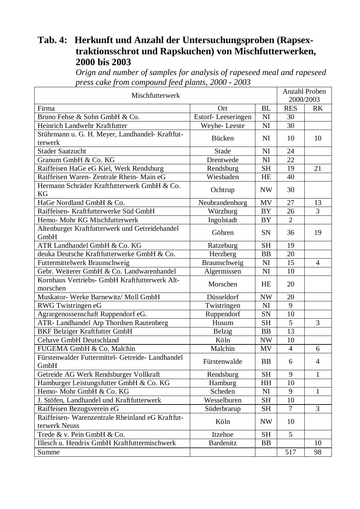### **Tab. 4: Herkunft und Anzahl der Untersuchungsproben (Rapsextraktionsschrot und Rapskuchen) von Mischfutterwerken, 2000 bis 2003**

*Orign and number of samples for analysis of rapeseed meal and rapeseed press cake from compound feed plants, 2000 - 2003*

| Mischfutterwerk                                            |                    |           |                 | <b>Anzahl Proben</b> |
|------------------------------------------------------------|--------------------|-----------|-----------------|----------------------|
|                                                            |                    |           |                 | 2000/2003            |
| Firma                                                      | Ort                | <b>BL</b> | <b>RES</b>      | <b>RK</b>            |
| Bruno Fehse & Sohn GmbH & Co.                              | Estorf-Leeseringen | NI        | 30              |                      |
| Heinrich Landwehr Kraftfutter                              | Weyhe-Leeste       | NI        | 30              |                      |
| Stührmann u. G. H. Meyer, Landhandel- Kraftfut-<br>terwerk | Bücken             | NI        | 10              | 10                   |
| <b>Stader Saatzucht</b>                                    | Stade              | NI        | 24              |                      |
| Granum GmbH & Co. KG                                       | Drentwede          | NI        | 22              |                      |
| Raiffeisen HaGe eG Kiel, Werk Rendsburg                    | Rendsburg          | <b>SH</b> | 19              | 21                   |
| Raiffeisen Waren- Zentrale Rhein- Main eG                  | Wiesbaden          | <b>HE</b> | 40              |                      |
| Hermann Schräder Kraftfutterwerk GmbH & Co.<br><b>KG</b>   | Ochtrup            | <b>NW</b> | 30              |                      |
| HaGe Nordland GmbH & Co.                                   | Neubrandenburg     | <b>MV</b> | 27              | 13                   |
| Raiffeisen- Kraftfutterwerke Süd GmbH                      | Würzburg           | <b>BY</b> | 26              | 3                    |
| Hemo- Mohr KG Mischfutterwerk                              | Ingolstadt         | <b>BY</b> | $\overline{2}$  |                      |
| Altenburger Kraftfutterwerk und Getreidehandel<br>GmbH     | Göhren             | <b>SN</b> | 36              | 19                   |
| ATR Landhandel GmbH & Co. KG                               | Ratzeburg          | <b>SH</b> | 19              |                      |
| deuka Deutsche Kraftfutterwerke GmbH & Co.                 | Herzberg           | <b>BB</b> | 20              |                      |
| Futtermittelwerk Braunschweig                              | Braunschweig       | NI        | 15              | $\overline{4}$       |
| Gebr. Weiterer GmbH & Co. Landwarenhandel                  | Algermissen        | NI        | 10              |                      |
| Kornhaus Vertriebs- GmbH Kraftfutterwerk Alt-              |                    |           |                 |                      |
| morschen                                                   | Morschen           | HE        | 20              |                      |
| Muskator- Werke Barnewitz/ Moll GmbH                       | Düsseldorf         | <b>NW</b> | 20              |                      |
| RWG Twistringen eG                                         | Twistringen        | NI        | 9               |                      |
| Agrargenossenschaft Ruppendorf eG.                         | Ruppendorf         | SN        | 10              |                      |
| ATR- Landhandel Arp Thordsen Rautenberg                    | Husum              | <b>SH</b> | 5               | 3                    |
| <b>BKF Belziger Kraftfutter GmbH</b>                       | <b>Belzig</b>      | <b>BB</b> | 13              |                      |
| <b>Cehave GmbH Deutschland</b>                             | Köln               | <b>NW</b> | 10              |                      |
| FUGEMA GmbH & Co. Malchin                                  | Malchin            | MV        | $\overline{4}$  | 6                    |
| Fürstenwalder Futtermittel- Getreide- Landhandel<br>GmbH   | Fürstenwalde       | <b>BB</b> | 6               | 4                    |
| Getreide AG Werk Rendsburger Vollkraft                     | Rendsburg          | <b>SH</b> | 9               | 1                    |
| Hamburger Leistungsfutter GmbH & Co. KG                    | Hamburg            | HH        | 10              |                      |
| Hemo- Mohr GmbH & Co. KG                                   | Scheden            | NI        | 9               | $\mathbf{1}$         |
| J. Stöfen, Landhandel und Kraftfutterwerk                  | Wesselburen        | <b>SH</b> | 10              |                      |
| Raiffeisen Bezugsverein eG                                 | Süderbrarup        | <b>SH</b> | $\overline{7}$  | 3                    |
| Raiffeisen- Warenzentrale Rheinland eG Kraftfut-           |                    |           |                 |                      |
| terwerk Neuss                                              | Köln               | <b>NW</b> | 10              |                      |
| Trede & v. Pein GmbH & Co.                                 | Itzehoe            | <b>SH</b> | $5\overline{)}$ |                      |
| Illesch u. Hendrix GmbH Kraftfuttermischwerk               | <b>Bardenitz</b>   | <b>BB</b> |                 | 10                   |
| Summe                                                      |                    |           | 517             | 98                   |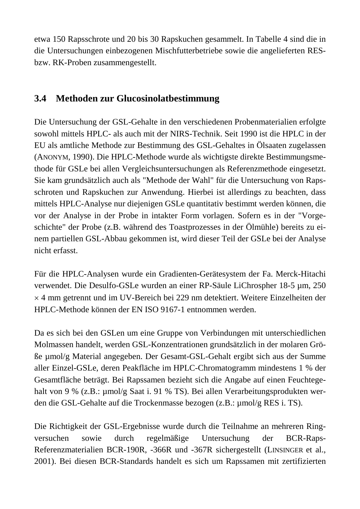etwa 150 Rapsschrote und 20 bis 30 Rapskuchen gesammelt. In Tabelle 4 sind die in die Untersuchungen einbezogenen Mischfutterbetriebe sowie die angelieferten RESbzw. RK-Proben zusammengestellt.

# **3.4 Methoden zur Glucosinolatbestimmung**

Die Untersuchung der GSL-Gehalte in den verschiedenen Probenmaterialien erfolgte sowohl mittels HPLC- als auch mit der NIRS-Technik. Seit 1990 ist die HPLC in der EU als amtliche Methode zur Bestimmung des GSL-Gehaltes in Ölsaaten zugelassen (ANONYM, 1990). Die HPLC-Methode wurde als wichtigste direkte Bestimmungsmethode für GSLe bei allen Vergleichsuntersuchungen als Referenzmethode eingesetzt. Sie kam grundsätzlich auch als "Methode der Wahl" für die Untersuchung von Rapsschroten und Rapskuchen zur Anwendung. Hierbei ist allerdings zu beachten, dass mittels HPLC-Analyse nur diejenigen GSLe quantitativ bestimmt werden können, die vor der Analyse in der Probe in intakter Form vorlagen. Sofern es in der "Vorgeschichte" der Probe (z.B. während des Toastprozesses in der Ölmühle) bereits zu einem partiellen GSL-Abbau gekommen ist, wird dieser Teil der GSLe bei der Analyse nicht erfasst.

Für die HPLC-Analysen wurde ein Gradienten-Gerätesystem der Fa. Merck-Hitachi verwendet. Die Desulfo-GSLe wurden an einer RP-Säule LiChrospher 18-5 µm, 250 × 4 mm getrennt und im UV-Bereich bei 229 nm detektiert. Weitere Einzelheiten der HPLC-Methode können der EN ISO 9167-1 entnommen werden.

Da es sich bei den GSLen um eine Gruppe von Verbindungen mit unterschiedlichen Molmassen handelt, werden GSL-Konzentrationen grundsätzlich in der molaren Größe µmol/g Material angegeben. Der Gesamt-GSL-Gehalt ergibt sich aus der Summe aller Einzel-GSLe, deren Peakfläche im HPLC-Chromatogramm mindestens 1 % der Gesamtfläche beträgt. Bei Rapssamen bezieht sich die Angabe auf einen Feuchtegehalt von 9 % (z.B.: µmol/g Saat i. 91 % TS). Bei allen Verarbeitungsprodukten werden die GSL-Gehalte auf die Trockenmasse bezogen (z.B.: µmol/g RES i. TS).

Die Richtigkeit der GSL-Ergebnisse wurde durch die Teilnahme an mehreren Ringversuchen sowie durch regelmäßige Untersuchung der BCR-Raps-Referenzmaterialien BCR-190R, -366R und -367R sichergestellt (LINSINGER et al., 2001). Bei diesen BCR-Standards handelt es sich um Rapssamen mit zertifizierten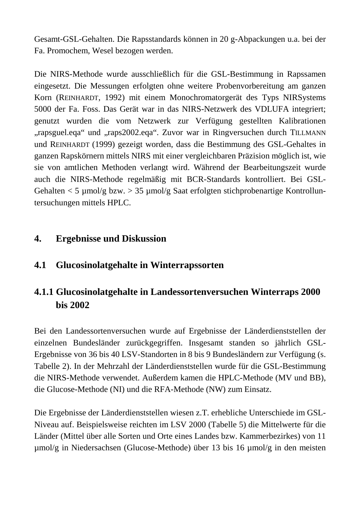Gesamt-GSL-Gehalten. Die Rapsstandards können in 20 g-Abpackungen u.a. bei der Fa. Promochem, Wesel bezogen werden.

Die NIRS-Methode wurde ausschließlich für die GSL-Bestimmung in Rapssamen eingesetzt. Die Messungen erfolgten ohne weitere Probenvorbereitung am ganzen Korn (REINHARDT, 1992) mit einem Monochromatorgerät des Typs NIRSystems 5000 der Fa. Foss. Das Gerät war in das NIRS-Netzwerk des VDLUFA integriert; genutzt wurden die vom Netzwerk zur Verfügung gestellten Kalibrationen "rapsguel.eqa" und "raps2002.eqa". Zuvor war in Ringversuchen durch TILLMANN und REINHARDT (1999) gezeigt worden, dass die Bestimmung des GSL-Gehaltes in ganzen Rapskörnern mittels NIRS mit einer vergleichbaren Präzision möglich ist, wie sie von amtlichen Methoden verlangt wird. Während der Bearbeitungszeit wurde auch die NIRS-Methode regelmäßig mit BCR-Standards kontrolliert. Bei GSL-Gehalten  $<$  5 µmol/g bzw.  $>$  35 µmol/g Saat erfolgten stichprobenartige Kontrolluntersuchungen mittels HPLC.

#### **4. Ergebnisse und Diskussion**

## **4.1 Glucosinolatgehalte in Winterrapssorten**

# **4.1.1 Glucosinolatgehalte in Landessortenversuchen Winterraps 2000 bis 2002**

Bei den Landessortenversuchen wurde auf Ergebnisse der Länderdienststellen der einzelnen Bundesländer zurückgegriffen. Insgesamt standen so jährlich GSL-Ergebnisse von 36 bis 40 LSV-Standorten in 8 bis 9 Bundesländern zur Verfügung (s. Tabelle 2). In der Mehrzahl der Länderdienststellen wurde für die GSL-Bestimmung die NIRS-Methode verwendet. Außerdem kamen die HPLC-Methode (MV und BB), die Glucose-Methode (NI) und die RFA-Methode (NW) zum Einsatz.

Die Ergebnisse der Länderdienststellen wiesen z.T. erhebliche Unterschiede im GSL-Niveau auf. Beispielsweise reichten im LSV 2000 (Tabelle 5) die Mittelwerte für die Länder (Mittel über alle Sorten und Orte eines Landes bzw. Kammerbezirkes) von 11 µmol/g in Niedersachsen (Glucose-Methode) über 13 bis 16 µmol/g in den meisten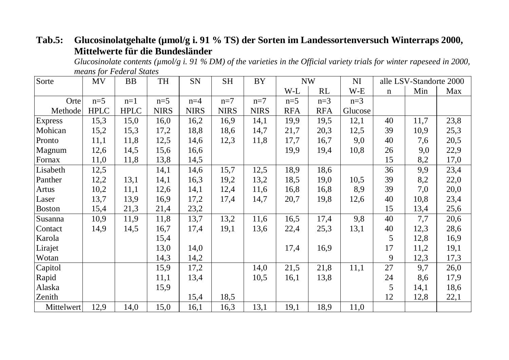# Tab.5: Glucosinolatgehalte (µmol/g i. 91 % TS) der Sorten im Landessortenversuch Winterraps 2000, **Mittelwerte für die Bundesländer**

*Glucosinolate contents (µmol/g i. 91 % DM) of the varieties in the Official variety trials for winter rapeseed in 2000, means for Federal States* 

| Sorte          | MV          | <b>BB</b>   | TH          | SN          | <b>SH</b>   | <b>BY</b>   | <b>NW</b>  |            | NI      |             | alle LSV-Standorte 2000 |      |
|----------------|-------------|-------------|-------------|-------------|-------------|-------------|------------|------------|---------|-------------|-------------------------|------|
|                |             |             |             |             |             |             | W-L        | RL         | W-E     | $\mathbf n$ | Min                     | Max  |
| Orte           | $n=5$       | $n=1$       | $n=5$       | $n=4$       | $n=7$       | $n=7$       | $n=5$      | $n=3$      | $n=3$   |             |                         |      |
| Methode        | <b>HPLC</b> | <b>HPLC</b> | <b>NIRS</b> | <b>NIRS</b> | <b>NIRS</b> | <b>NIRS</b> | <b>RFA</b> | <b>RFA</b> | Glucose |             |                         |      |
| <b>Express</b> | 15,3        | 15,0        | 16,0        | 16,2        | 16,9        | 14,1        | 19,9       | 19,5       | 12,1    | 40          | 11,7                    | 23,8 |
| Mohican        | 15,2        | 15,3        | 17,2        | 18,8        | 18,6        | 14,7        | 21,7       | 20,3       | 12,5    | 39          | 10,9                    | 25,3 |
| Pronto         | 11,1        | 11,8        | 12,5        | 14,6        | 12,3        | 11,8        | 17,7       | 16,7       | 9,0     | 40          | 7,6                     | 20,5 |
| Magnum         | 12,6        | 14,5        | 15,6        | 16,6        |             |             | 19,9       | 19,4       | 10,8    | 26          | 9,0                     | 22,9 |
| Fornax         | 11,0        | 11,8        | 13,8        | 14,5        |             |             |            |            |         | 15          | 8,2                     | 17,0 |
| Lisabeth       | 12,5        |             | 14,1        | 14,6        | 15,7        | 12,5        | 18,9       | 18,6       |         | 36          | 9,9                     | 23,4 |
| Panther        | 12,2        | 13,1        | 14,1        | 16,3        | 19,2        | 13,2        | 18,5       | 19,0       | 10,5    | 39          | 8,2                     | 22,0 |
| Artus          | 10,2        | 11,1        | 12,6        | 14,1        | 12,4        | 11,6        | 16,8       | 16,8       | 8,9     | 39          | 7,0                     | 20,0 |
| Laser          | 13,7        | 13,9        | 16,9        | 17,2        | 17,4        | 14,7        | 20,7       | 19,8       | 12,6    | 40          | 10,8                    | 23,4 |
| Boston         | 15,4        | 21,3        | 21,4        | 23,2        |             |             |            |            |         | 15          | 13,4                    | 25,6 |
| Susanna        | 10,9        | 11,9        | 11,8        | 13,7        | 13,2        | 11,6        | 16,5       | 17,4       | 9,8     | 40          | 7,7                     | 20,6 |
| Contact        | 14,9        | 14,5        | 16,7        | 17,4        | 19,1        | 13,6        | 22,4       | 25,3       | 13,1    | 40          | 12,3                    | 28,6 |
| Karola         |             |             | 15,4        |             |             |             |            |            |         | 5           | 12,8                    | 16,9 |
| Lirajet        |             |             | 13,0        | 14,0        |             |             | 17,4       | 16,9       |         | 17          | 11,2                    | 19,1 |
| Wotan          |             |             | 14,3        | 14,2        |             |             |            |            |         | 9           | 12,3                    | 17,3 |
| Capitol        |             |             | 15,9        | 17,2        |             | 14,0        | 21,5       | 21,8       | 11,1    | 27          | 9,7                     | 26,0 |
| Rapid          |             |             | 11,1        | 13,4        |             | 10,5        | 16,1       | 13,8       |         | 24          | 8,6                     | 17,9 |
| Alaska         |             |             | 15,9        |             |             |             |            |            |         | 5           | 14,1                    | 18,6 |
| Zenith         |             |             |             | 15,4        | 18,5        |             |            |            |         | 12          | 12,8                    | 22,1 |
| Mittelwert     | 12,9        | 14,0        | 15,0        | 16,1        | 16,3        | 13,1        | 19,1       | 18,9       | 11,0    |             |                         |      |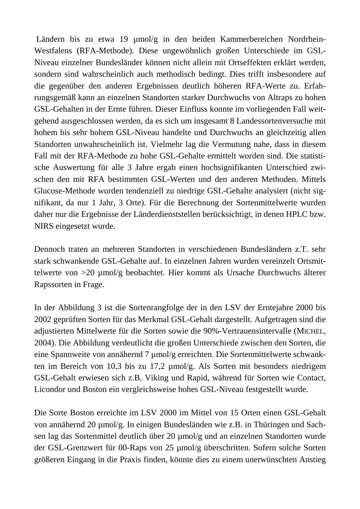Ländern bis zu etwa 19 µmol/g in den beiden Kammerbereichen Nordrhein-Westfalens (RFA-Methode). Diese ungewöhnlich großen Unterschiede im GSL-Niveau einzelner Bundesländer können nicht allein mit Ortseffekten erklärt werden, sondern sind wahrscheinlich auch methodisch bedingt. Dies trifft insbesondere auf die gegenüber den anderen Ergebnissen deutlich höheren RFA-Werte zu. Erfahrungsgemäß kann an einzelnen Standorten starker Durchwuchs von Altraps zu hohen GSL-Gehalten in der Ernte führen. Dieser Einfluss konnte im vorliegenden Fall weitgehend ausgeschlossen werden, da es sich um insgesamt 8 Landessortenversuche mit hohem bis sehr hohem GSL-Niveau handelte und Durchwuchs an gleichzeitig allen Standorten unwahrscheinlich ist. Vielmehr lag die Vermutung nahe, dass in diesem Fall mit der RFA-Methode zu hohe GSL-Gehalte ermittelt worden sind. Die statistische Auswertung für alle 3 Jahre ergab einen hochsignifikanten Unterschied zwischen den mit RFA bestimmten GSL-Werten und den anderen Methoden. Mittels Glucose-Methode wurden tendenziell zu niedrige GSL-Gehalte analysiert (nicht signifikant, da nur 1 Jahr, 3 Orte). Für die Berechnung der Sortenmittelwerte wurden daher nur die Ergebnisse der Länderdienststellen berücksichtigt, in denen HPLC bzw. NIRS eingesetzt wurde.

Dennoch traten an mehreren Standorten in verschiedenen Bundesländern z.T. sehr stark schwankende GSL-Gehalte auf. In einzelnen Jahren wurden vereinzelt Ortsmittelwerte von >20 µmol/g beobachtet. Hier kommt als Ursache Durchwuchs älterer Rapssorten in Frage.

In der Abbildung 3 ist die Sortenrangfolge der in den LSV der Erntejahre 2000 bis 2002 geprüften Sorten für das Merkmal GSL-Gehalt dargestellt. Aufgetragen sind die adjustierten Mittelwerte für die Sorten sowie die 90%-Vertrauensintervalle (MICHEL, 2004). Die Abbildung verdeutlicht die großen Unterschiede zwischen den Sorten, die eine Spannweite von annähernd 7 µmol/g erreichten. Die Sortenmittelwerte schwankten im Bereich von 10,3 bis zu 17,2 µmol/g. Als Sorten mit besonders niedrigem GSL-Gehalt erwiesen sich z.B. Viking und Rapid, während für Sorten wie Contact, Licondor und Boston ein vergleichsweise hohes GSL-Niveau festgestellt wurde.

Die Sorte Boston erreichte im LSV 2000 im Mittel von 15 Orten einen GSL-Gehalt von annähernd 20 µmol/g. In einigen Bundesländen wie z.B. in Thüringen und Sachsen lag das Sortenmittel deutlich über 20 µmol/g und an einzelnen Standorten wurde der GSL-Grenzwert für 00-Raps von 25 µmol/g überschritten. Sofern solche Sorten größeren Eingang in die Praxis finden, könnte dies zu einem unerwünschten Anstieg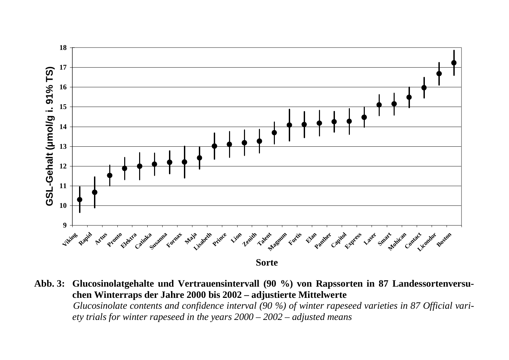

**Abb. 3: Glucosinolatgehalte und Vertrauensintervall (90 %) von Rapssorten in 87 Landessortenversuchen Winterraps der Jahre 2000 bis 2002 – adjustierte Mittelwerte**  *Glucosinolate contents and confidence interval (90 %) of winter rapeseed varieties in 87 Official variety trials for winter rapeseed in the years 2000 – 2002 – adjusted means*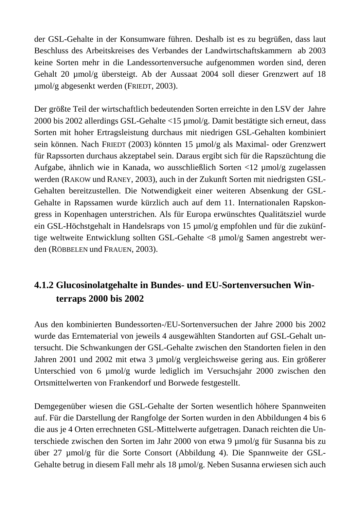der GSL-Gehalte in der Konsumware führen. Deshalb ist es zu begrüßen, dass laut Beschluss des Arbeitskreises des Verbandes der Landwirtschaftskammern ab 2003 keine Sorten mehr in die Landessortenversuche aufgenommen worden sind, deren Gehalt 20 µmol/g übersteigt. Ab der Aussaat 2004 soll dieser Grenzwert auf 18 µmol/g abgesenkt werden (FRIEDT, 2003).

Der größte Teil der wirtschaftlich bedeutenden Sorten erreichte in den LSV der Jahre 2000 bis 2002 allerdings GSL-Gehalte <15 µmol/g. Damit bestätigte sich erneut, dass Sorten mit hoher Ertragsleistung durchaus mit niedrigen GSL-Gehalten kombiniert sein können. Nach FRIEDT (2003) könnten 15 µmol/g als Maximal- oder Grenzwert für Rapssorten durchaus akzeptabel sein. Daraus ergibt sich für die Rapszüchtung die Aufgabe, ähnlich wie in Kanada, wo ausschließlich Sorten <12 µmol/g zugelassen werden (RAKOW und RANEY, 2003), auch in der Zukunft Sorten mit niedrigsten GSL-Gehalten bereitzustellen. Die Notwendigkeit einer weiteren Absenkung der GSL-Gehalte in Rapssamen wurde kürzlich auch auf dem 11. Internationalen Rapskongress in Kopenhagen unterstrichen. Als für Europa erwünschtes Qualitätsziel wurde ein GSL-Höchstgehalt in Handelsraps von 15 µmol/g empfohlen und für die zukünftige weltweite Entwicklung sollten GSL-Gehalte <8 µmol/g Samen angestrebt werden (RÖBBELEN und FRAUEN, 2003).

# **4.1.2 Glucosinolatgehalte in Bundes- und EU-Sortenversuchen Win terraps 2000 bis 2002**

Aus den kombinierten Bundessorten-/EU-Sortenversuchen der Jahre 2000 bis 2002 wurde das Erntematerial von jeweils 4 ausgewählten Standorten auf GSL-Gehalt untersucht. Die Schwankungen der GSL-Gehalte zwischen den Standorten fielen in den Jahren 2001 und 2002 mit etwa 3 µmol/g vergleichsweise gering aus. Ein größerer Unterschied von 6 µmol/g wurde lediglich im Versuchsjahr 2000 zwischen den Ortsmittelwerten von Frankendorf und Borwede festgestellt.

Demgegenüber wiesen die GSL-Gehalte der Sorten wesentlich höhere Spannweiten auf. Für die Darstellung der Rangfolge der Sorten wurden in den Abbildungen 4 bis 6 die aus je 4 Orten errechneten GSL-Mittelwerte aufgetragen. Danach reichten die Unterschiede zwischen den Sorten im Jahr 2000 von etwa 9 µmol/g für Susanna bis zu über 27 µmol/g für die Sorte Consort (Abbildung 4). Die Spannweite der GSL-Gehalte betrug in diesem Fall mehr als 18 µmol/g. Neben Susanna erwiesen sich auch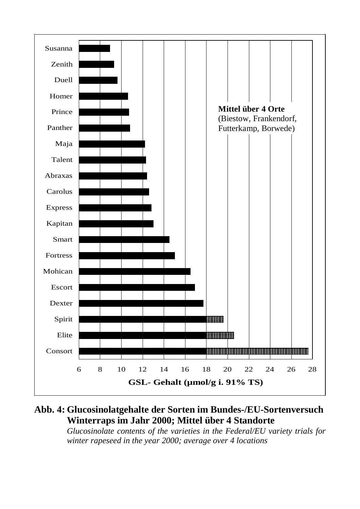

**Abb. 4: Glucosinolatgehalte der Sorten im Bundes-/EU-Sortenversuch Winterraps im Jahr 2000; Mittel über 4 Standorte** 

*Glucosinolate contents of the varieties in the Federal/EU variety trials for winter rapeseed in the year 2000; average over 4 locations*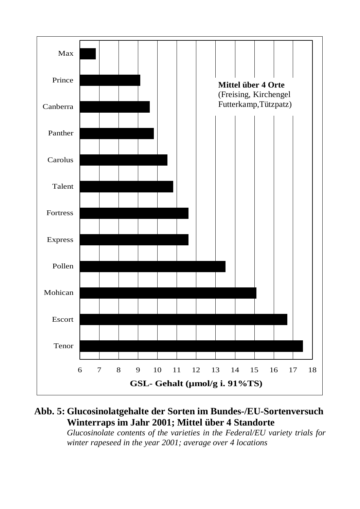

# **Abb. 5: Glucosinolatgehalte der Sorten im Bundes-/EU-Sortenversuch Winterraps im Jahr 2001; Mittel über 4 Standorte**

*Glucosinolate contents of the varieties in the Federal/EU variety trials for winter rapeseed in the year 2001; average over 4 locations*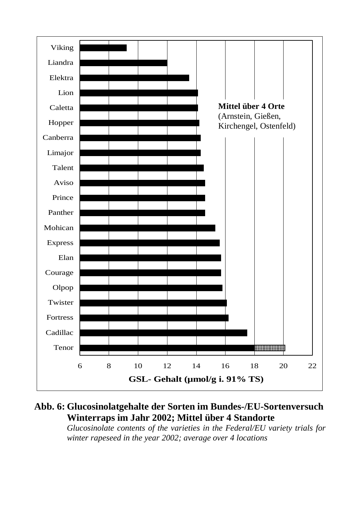

# **Abb. 6: Glucosinolatgehalte der Sorten im Bundes-/EU-Sortenversuch Winterraps im Jahr 2002; Mittel über 4 Standorte**

*Glucosinolate contents of the varieties in the Federal/EU variety trials for winter rapeseed in the year 2002; average over 4 locations*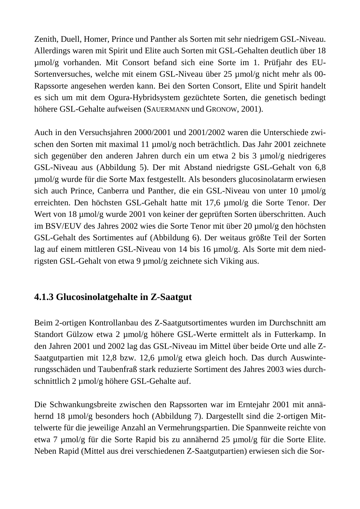Zenith, Duell, Homer, Prince und Panther als Sorten mit sehr niedrigem GSL-Niveau. Allerdings waren mit Spirit und Elite auch Sorten mit GSL-Gehalten deutlich über 18 µmol/g vorhanden. Mit Consort befand sich eine Sorte im 1. Prüfjahr des EU-Sortenversuches, welche mit einem GSL-Niveau über 25 µmol/g nicht mehr als 00- Rapssorte angesehen werden kann. Bei den Sorten Consort, Elite und Spirit handelt es sich um mit dem Ogura-Hybridsystem gezüchtete Sorten, die genetisch bedingt höhere GSL-Gehalte aufweisen (SAUERMANN und GRONOW, 2001).

Auch in den Versuchsjahren 2000/2001 und 2001/2002 waren die Unterschiede zwischen den Sorten mit maximal 11 µmol/g noch beträchtlich. Das Jahr 2001 zeichnete sich gegenüber den anderen Jahren durch ein um etwa 2 bis 3 µmol/g niedrigeres GSL-Niveau aus (Abbildung 5). Der mit Abstand niedrigste GSL-Gehalt von 6,8 µmol/g wurde für die Sorte Max festgestellt. Als besonders glucosinolatarm erwiesen sich auch Prince, Canberra und Panther, die ein GSL-Niveau von unter 10  $\mu$ mol/g erreichten. Den höchsten GSL-Gehalt hatte mit 17,6 µmol/g die Sorte Tenor. Der Wert von 18 µmol/g wurde 2001 von keiner der geprüften Sorten überschritten. Auch im BSV/EUV des Jahres 2002 wies die Sorte Tenor mit über 20 µmol/g den höchsten GSL-Gehalt des Sortimentes auf (Abbildung 6). Der weitaus größte Teil der Sorten lag auf einem mittleren GSL-Niveau von 14 bis 16 µmol/g. Als Sorte mit dem niedrigsten GSL-Gehalt von etwa 9 µmol/g zeichnete sich Viking aus.

# **4.1.3 Glucosinolatgehalte in Z-Saatgut**

Beim 2-ortigen Kontrollanbau des Z-Saatgutsortimentes wurden im Durchschnitt am Standort Gülzow etwa 2 µmol/g höhere GSL-Werte ermittelt als in Futterkamp. In den Jahren 2001 und 2002 lag das GSL-Niveau im Mittel über beide Orte und alle Z-Saatgutpartien mit 12,8 bzw. 12,6 µmol/g etwa gleich hoch. Das durch Auswinterungsschäden und Taubenfraß stark reduzierte Sortiment des Jahres 2003 wies durchschnittlich 2 µmol/g höhere GSL-Gehalte auf.

Die Schwankungsbreite zwischen den Rapssorten war im Erntejahr 2001 mit annähernd 18 µmol/g besonders hoch (Abbildung 7). Dargestellt sind die 2-ortigen Mittelwerte für die jeweilige Anzahl an Vermehrungspartien. Die Spannweite reichte von etwa 7 µmol/g für die Sorte Rapid bis zu annähernd 25 µmol/g für die Sorte Elite. Neben Rapid (Mittel aus drei verschiedenen Z-Saatgutpartien) erwiesen sich die Sor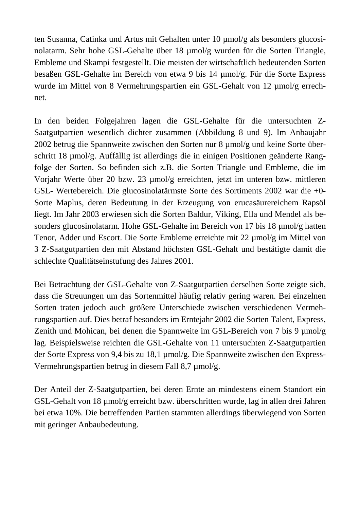ten Susanna, Catinka und Artus mit Gehalten unter 10 µmol/g als besonders glucosinolatarm. Sehr hohe GSL-Gehalte über 18 µmol/g wurden für die Sorten Triangle, Embleme und Skampi festgestellt. Die meisten der wirtschaftlich bedeutenden Sorten besaßen GSL-Gehalte im Bereich von etwa 9 bis 14 µmol/g. Für die Sorte Express wurde im Mittel von 8 Vermehrungspartien ein GSL-Gehalt von 12 µmol/g errechnet.

In den beiden Folgejahren lagen die GSL-Gehalte für die untersuchten Z-Saatgutpartien wesentlich dichter zusammen (Abbildung 8 und 9). Im Anbaujahr 2002 betrug die Spannweite zwischen den Sorten nur 8 µmol/g und keine Sorte überschritt 18 µmol/g. Auffällig ist allerdings die in einigen Positionen geänderte Rangfolge der Sorten. So befinden sich z.B. die Sorten Triangle und Embleme, die im Vorjahr Werte über 20 bzw. 23 µmol/g erreichten, jetzt im unteren bzw. mittleren GSL- Wertebereich. Die glucosinolatärmste Sorte des Sortiments 2002 war die +0- Sorte Maplus, deren Bedeutung in der Erzeugung von erucasäurereichem Rapsöl liegt. Im Jahr 2003 erwiesen sich die Sorten Baldur, Viking, Ella und Mendel als besonders glucosinolatarm. Hohe GSL-Gehalte im Bereich von 17 bis 18 µmol/g hatten Tenor, Adder und Escort. Die Sorte Embleme erreichte mit 22 µmol/g im Mittel von 3 Z-Saatgutpartien den mit Abstand höchsten GSL-Gehalt und bestätigte damit die schlechte Qualitätseinstufung des Jahres 2001.

Bei Betrachtung der GSL-Gehalte von Z-Saatgutpartien derselben Sorte zeigte sich, dass die Streuungen um das Sortenmittel häufig relativ gering waren. Bei einzelnen Sorten traten jedoch auch größere Unterschiede zwischen verschiedenen Vermehrungspartien auf. Dies betraf besonders im Erntejahr 2002 die Sorten Talent, Express, Zenith und Mohican, bei denen die Spannweite im GSL-Bereich von 7 bis 9 µmol/g lag. Beispielsweise reichten die GSL-Gehalte von 11 untersuchten Z-Saatgutpartien der Sorte Express von 9,4 bis zu 18,1 µmol/g. Die Spannweite zwischen den Express-Vermehrungspartien betrug in diesem Fall 8,7 µmol/g.

Der Anteil der Z-Saatgutpartien, bei deren Ernte an mindestens einem Standort ein GSL-Gehalt von 18 µmol/g erreicht bzw. überschritten wurde, lag in allen drei Jahren bei etwa 10%. Die betreffenden Partien stammten allerdings überwiegend von Sorten mit geringer Anbaubedeutung.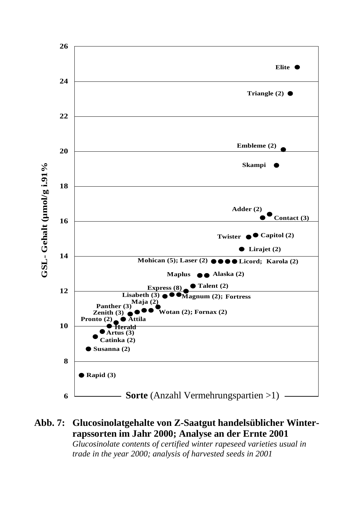

#### **Abb. 7: Glucosinolatgehalte von Z-Saatgut handelsüblicher Winterrapssorten im Jahr 2000; Analyse an der Ernte 2001**

*Glucosinolate contents of certified winter rapeseed varieties usual in trade in the year 2000; analysis of harvested seeds in 2001*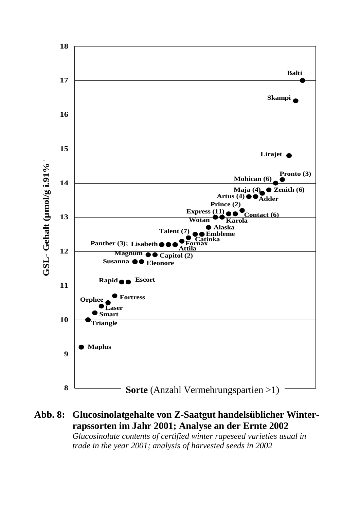

#### **Abb. 8: Glucosinolatgehalte von Z-Saatgut handelsüblicher Winterrapssorten im Jahr 2001; Analyse an der Ernte 2002**

*Glucosinolate contents of certified winter rapeseed varieties usual in trade in the year 2001; analysis of harvested seeds in 2002*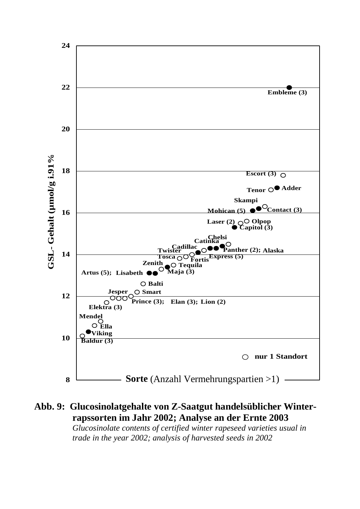

**Abb. 9: Glucosinolatgehalte von Z-Saatgut handelsüblicher Winterrapssorten im Jahr 2002; Analyse an der Ernte 2003**  *Glucosinolate contents of certified winter rapeseed varieties usual in trade in the year 2002; analysis of harvested seeds in 2002*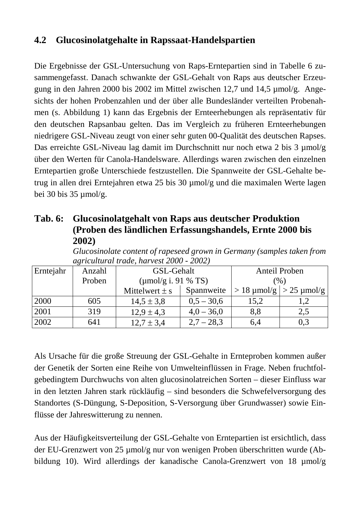### **4.2 Glucosinolatgehalte in Rapssaat-Handelspartien**

Die Ergebnisse der GSL-Untersuchung von Raps-Erntepartien sind in Tabelle 6 zusammengefasst. Danach schwankte der GSL-Gehalt von Raps aus deutscher Erzeugung in den Jahren 2000 bis 2002 im Mittel zwischen 12,7 und 14,5 µmol/g. Angesichts der hohen Probenzahlen und der über alle Bundesländer verteilten Probenahmen (s. Abbildung 1) kann das Ergebnis der Ernteerhebungen als repräsentativ für den deutschen Rapsanbau gelten. Das im Vergleich zu früheren Ernteerhebungen niedrigere GSL-Niveau zeugt von einer sehr guten 00-Qualität des deutschen Rapses. Das erreichte GSL-Niveau lag damit im Durchschnitt nur noch etwa 2 bis 3 µmol/g über den Werten für Canola-Handelsware. Allerdings waren zwischen den einzelnen Erntepartien große Unterschiede festzustellen. Die Spannweite der GSL-Gehalte betrug in allen drei Erntejahren etwa 25 bis 30 µmol/g und die maximalen Werte lagen bei 30 bis 35 µmol/g.

#### **Tab. 6: Glucosinolatgehalt von Raps aus deutscher Produktion (Proben des ländlichen Erfassungshandels, Ernte 2000 bis 2002)**

|           | $\mu$ griculturut truue, nurvest 2000 - 2002) |                           |              |               |                                     |  |  |  |  |  |  |
|-----------|-----------------------------------------------|---------------------------|--------------|---------------|-------------------------------------|--|--|--|--|--|--|
| Erntejahr | Anzahl                                        | GSL-Gehalt                |              | Anteil Proben |                                     |  |  |  |  |  |  |
|           | Proben                                        | ( $\mu$ mol/g i. 91 % TS) |              | (%)           |                                     |  |  |  |  |  |  |
|           |                                               | Mittelwert $\pm$ s        | Spannweite   |               | $> 18 \mu$ mol/g $  > 25 \mu$ mol/g |  |  |  |  |  |  |
| 2000      | 605                                           | $14,5 \pm 3,8$            | $0,5 - 30,6$ | 15,2          |                                     |  |  |  |  |  |  |
| 2001      | 319                                           | $12.9 \pm 4.3$            | $4,0 - 36,0$ | 8,8           | 2,5                                 |  |  |  |  |  |  |
| 2002      | 641                                           | $12.7 \pm 3.4$            | $2,7 - 28,3$ | 6,4           | 0,3                                 |  |  |  |  |  |  |

*Glucosinolate content of rapeseed grown in Germany (samples taken from agricultural trade, harvest 2000 - 2002)* 

Als Ursache für die große Streuung der GSL-Gehalte in Ernteproben kommen außer der Genetik der Sorten eine Reihe von Umwelteinflüssen in Frage. Neben fruchtfolgebedingtem Durchwuchs von alten glucosinolatreichen Sorten – dieser Einfluss war in den letzten Jahren stark rückläufig – sind besonders die Schwefelversorgung des Standortes (S-Düngung, S-Deposition, S-Versorgung über Grundwasser) sowie Einflüsse der Jahreswitterung zu nennen.

Aus der Häufigkeitsverteilung der GSL-Gehalte von Erntepartien ist ersichtlich, dass der EU-Grenzwert von 25 µmol/g nur von wenigen Proben überschritten wurde (Abbildung 10). Wird allerdings der kanadische Canola-Grenzwert von 18 µmol/g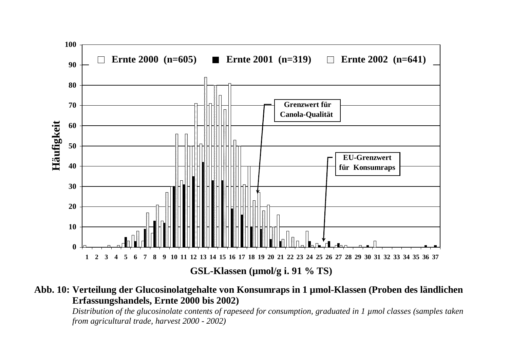

#### **Abb. 10: Verteilung der Glucosinolatgehalte von Konsumraps in 1 µmol-Klassen (Proben des ländlichen Erfassungshandels, Ernte 2000 bis 2002)**

*Distribution of the glucosinolate contents of rapeseed for consumption, graduated in 1 µmol classes (samples taken from agricultural trade, harvest 2000 - 2002)*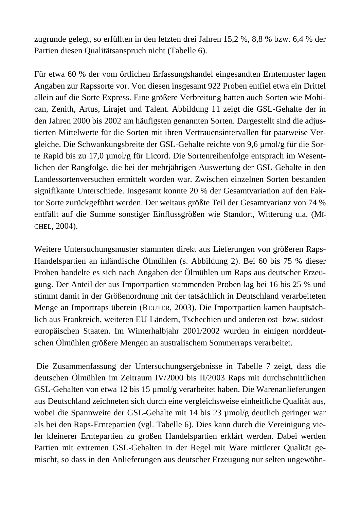zugrunde gelegt, so erfüllten in den letzten drei Jahren 15,2 %, 8,8 % bzw. 6,4 % der Partien diesen Qualitätsanspruch nicht (Tabelle 6).

Für etwa 60 % der vom örtlichen Erfassungshandel eingesandten Erntemuster lagen Angaben zur Rapssorte vor. Von diesen insgesamt 922 Proben entfiel etwa ein Drittel allein auf die Sorte Express. Eine größere Verbreitung hatten auch Sorten wie Mohican, Zenith, Artus, Lirajet und Talent. Abbildung 11 zeigt die GSL-Gehalte der in den Jahren 2000 bis 2002 am häufigsten genannten Sorten. Dargestellt sind die adjustierten Mittelwerte für die Sorten mit ihren Vertrauensintervallen für paarweise Vergleiche. Die Schwankungsbreite der GSL-Gehalte reichte von 9,6 µmol/g für die Sorte Rapid bis zu 17,0 µmol/g für Licord. Die Sortenreihenfolge entsprach im Wesentlichen der Rangfolge, die bei der mehrjährigen Auswertung der GSL-Gehalte in den Landessortenversuchen ermittelt worden war. Zwischen einzelnen Sorten bestanden signifikante Unterschiede. Insgesamt konnte 20 % der Gesamtvariation auf den Faktor Sorte zurückgeführt werden. Der weitaus größte Teil der Gesamtvarianz von 74 % entfällt auf die Summe sonstiger Einflussgrößen wie Standort, Witterung u.a. (MI-CHEL, 2004).

Weitere Untersuchungsmuster stammten direkt aus Lieferungen von größeren Raps-Handelspartien an inländische Ölmühlen (s. Abbildung 2). Bei 60 bis 75 % dieser Proben handelte es sich nach Angaben der Ölmühlen um Raps aus deutscher Erzeugung. Der Anteil der aus Importpartien stammenden Proben lag bei 16 bis 25 % und stimmt damit in der Größenordnung mit der tatsächlich in Deutschland verarbeiteten Menge an Importraps überein (REUTER, 2003). Die Importpartien kamen hauptsächlich aus Frankreich, weiteren EU-Ländern, Tschechien und anderen ost- bzw. südosteuropäischen Staaten. Im Winterhalbjahr 2001/2002 wurden in einigen norddeutschen Ölmühlen größere Mengen an australischem Sommerraps verarbeitet.

 Die Zusammenfassung der Untersuchungsergebnisse in Tabelle 7 zeigt, dass die deutschen Ölmühlen im Zeitraum IV/2000 bis II/2003 Raps mit durchschnittlichen GSL-Gehalten von etwa 12 bis 15 µmol/g verarbeitet haben. Die Warenanlieferungen aus Deutschland zeichneten sich durch eine vergleichsweise einheitliche Qualität aus, wobei die Spannweite der GSL-Gehalte mit 14 bis 23 µmol/g deutlich geringer war als bei den Raps-Erntepartien (vgl. Tabelle 6). Dies kann durch die Vereinigung vieler kleinerer Erntepartien zu großen Handelspartien erklärt werden. Dabei werden Partien mit extremen GSL-Gehalten in der Regel mit Ware mittlerer Qualität gemischt, so dass in den Anlieferungen aus deutscher Erzeugung nur selten ungewöhn-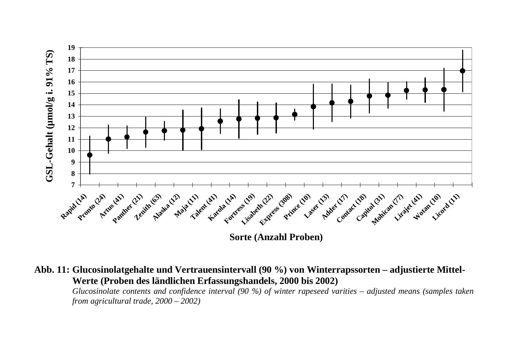

**Sorte (Anzahl Proben)**

**Abb. 11: Glucosinolatgehalte und Vertrauensintervall (90 %) von Winterrapssorten – adjustierte Mittel-Werte (Proben des ländlichen Erfassungshandels, 2000 bis 2002)** 

*Glucosinolate contents and confidence interval (90 %) of winter rapeseed varities – adjusted means (samples taken from a gricultural trade, 2000 – 2002)*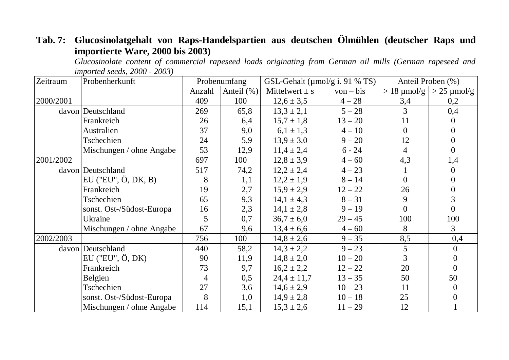# **Tab. 7: Glucosinolatgehalt von Raps-Handelspartien aus deutschen Ölmühlen (deutscher Raps und importierte Ware, 2000 bis 2003)**

*Glucosinolate content of commercial rapeseed loads originating from German oil mills (German rapeseed and imported seeds, 2000 - 2003)* 

| Zeitraum  | Probenherkunft                |                | Probenumfang |                    | GSL-Gehalt ( $\mu$ mol/g i. 91 % TS) | Anteil Proben (%) |                                         |
|-----------|-------------------------------|----------------|--------------|--------------------|--------------------------------------|-------------------|-----------------------------------------|
|           |                               | Anzahl         | Anteil (%)   | Mittelwert $\pm$ s | $von - bis$                          |                   | $> 18 \mu$ mol/g $  > 25 \mu$ mol/g $ $ |
| 2000/2001 |                               | 409            | 100          | $12,6 \pm 3,5$     | $4 - 28$                             | 3,4               | 0,2                                     |
|           | davon Deutschland             | 269            | 65,8         | $13,3 \pm 2,1$     | $5 - 28$                             | 3                 | 0,4                                     |
|           | Frankreich                    | 26             | 6,4          | $15.7 \pm 1.8$     | $13 - 20$                            | 11                | $\Omega$                                |
|           | Australien                    | 37             | 9,0          | $6.1 \pm 1.3$      | $4 - 10$                             | $\Omega$          | $\Omega$                                |
|           | Tschechien                    | 24             | 5,9          | $13.9 \pm 3.0$     | $9 - 20$                             | 12                | $\theta$                                |
|           | Mischungen / ohne Angabe      | 53             | 12,9         | $11,4 \pm 2,4$     | $6 - 24$                             | 4                 | $\overline{0}$                          |
| 2001/2002 |                               | 697            | 100          | $12,8 \pm 3,9$     | $4 - 60$                             | 4,3               | 1,4                                     |
|           | davon Deutschland             | 517            | 74,2         | $12,2 \pm 2,4$     | $4 - 23$                             | $\mathbf{1}$      | $\overline{0}$                          |
|           | EU ("EU", $\ddot{O}$ , DK, B) | 8              | 1,1          | $12.2 \pm 1.9$     | $8 - 14$                             | $\theta$          | $\Omega$                                |
|           | Frankreich                    | 19             | 2,7          | $15.9 \pm 2.9$     | $12 - 22$                            | 26                | $\overline{0}$                          |
|           | Tschechien                    | 65             | 9,3          | $14,1 \pm 4,3$     | $8 - 31$                             | 9                 | 3                                       |
|           | sonst. Ost-/Südost-Europa     | 16             | 2,3          | $14,1 \pm 2,8$     | $9 - 19$                             | $\Omega$          | $\overline{0}$                          |
|           | Ukraine                       | 5              | 0,7          | $36.7 \pm 6.0$     | $29 - 45$                            | 100               | 100                                     |
|           | Mischungen / ohne Angabe      | 67             | 9,6          | $13,4 \pm 6,6$     | $4 - 60$                             | 8                 | 3                                       |
| 2002/2003 |                               | 756            | 100          | $14,8 \pm 2,6$     | $9 - 35$                             | 8,5               | 0,4                                     |
|           | davon Deutschland             | 440            | 58,2         | $14,3 \pm 2,2$     | $9 - 23$                             | 5                 | $\Omega$                                |
|           | $EU$ ("EU", $\ddot{O}$ , DK)  | 90             | 11,9         | $14,8 \pm 2,0$     | $10 - 20$                            | 3                 | 0                                       |
|           | Frankreich                    | 73             | 9,7          | $16,2 \pm 2,2$     | $12 - 22$                            | 20                | $\Omega$                                |
|           | Belgien                       | $\overline{4}$ | 0,5          | $24.4 \pm 11.7$    | $13 - 35$                            | 50                | 50                                      |
|           | Tschechien                    | 27             | 3,6          | $14,6 \pm 2,9$     | $10 - 23$                            | 11                | $\mathbf{0}$                            |
|           | sonst. Ost-/Südost-Europa     | 8              | 1,0          | $14,9 \pm 2,8$     | $10 - 18$                            | 25                |                                         |
|           | Mischungen / ohne Angabe      | 114            | 15,1         | $15,3 \pm 2,6$     | $11 - 29$                            | 12                |                                         |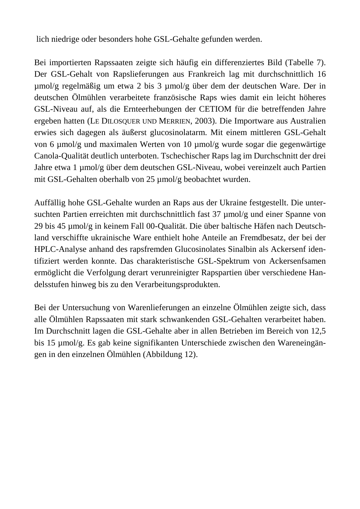lich niedrige oder besonders hohe GSL-Gehalte gefunden werden.

Bei importierten Rapssaaten zeigte sich häufig ein differenziertes Bild (Tabelle 7). Der GSL-Gehalt von Rapslieferungen aus Frankreich lag mit durchschnittlich 16 µmol/g regelmäßig um etwa 2 bis 3 µmol/g über dem der deutschen Ware. Der in deutschen Ölmühlen verarbeitete französische Raps wies damit ein leicht höheres GSL-Niveau auf, als die Ernteerhebungen der CETIOM für die betreffenden Jahre ergeben hatten (LE DILOSQUER UND MERRIEN, 2003). Die Importware aus Australien erwies sich dagegen als äußerst glucosinolatarm. Mit einem mittleren GSL-Gehalt von 6 µmol/g und maximalen Werten von 10 µmol/g wurde sogar die gegenwärtige Canola-Qualität deutlich unterboten. Tschechischer Raps lag im Durchschnitt der drei Jahre etwa 1 µmol/g über dem deutschen GSL-Niveau, wobei vereinzelt auch Partien mit GSL-Gehalten oberhalb von 25 µmol/g beobachtet wurden.

Auffällig hohe GSL-Gehalte wurden an Raps aus der Ukraine festgestellt. Die untersuchten Partien erreichten mit durchschnittlich fast 37 µmol/g und einer Spanne von 29 bis 45 µmol/g in keinem Fall 00-Qualität. Die über baltische Häfen nach Deutschland verschiffte ukrainische Ware enthielt hohe Anteile an Fremdbesatz, der bei der HPLC-Analyse anhand des rapsfremden Glucosinolates Sinalbin als Ackersenf identifiziert werden konnte. Das charakteristische GSL-Spektrum von Ackersenfsamen ermöglicht die Verfolgung derart verunreinigter Rapspartien über verschiedene Handelsstufen hinweg bis zu den Verarbeitungsprodukten.

Bei der Untersuchung von Warenlieferungen an einzelne Ölmühlen zeigte sich, dass alle Ölmühlen Rapssaaten mit stark schwankenden GSL-Gehalten verarbeitet haben. Im Durchschnitt lagen die GSL-Gehalte aber in allen Betrieben im Bereich von 12,5 bis 15 µmol/g. Es gab keine signifikanten Unterschiede zwischen den Wareneingängen in den einzelnen Ölmühlen (Abbildung 12).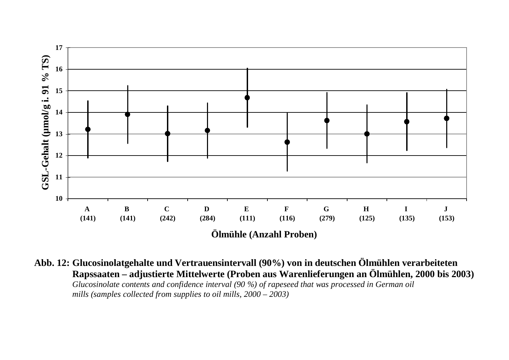

**Abb. 12: Glucosinolatgehalte und Vertrauensintervall (90%) von in deutschen Ölmühlen verarbeiteten Rapssaaten – adjustierte Mittelwerte (Proben aus Warenlieferungen an Ölmühlen, 2000 bis 2003)** *Glucosinolate contents and confidence interval (90 %) of rapeseed that was processed in German oil* 

 *mills (samples collected from supplies to oil mills, 2000 – 2003)*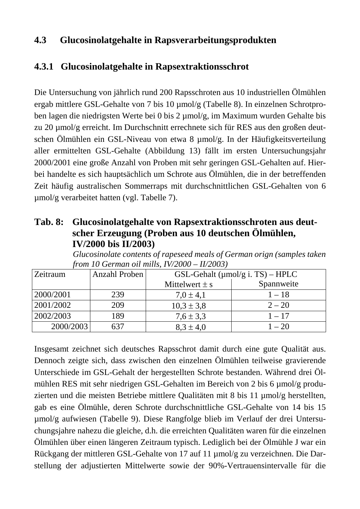## **4.3 Glucosinolatgehalte in Rapsverarbeitungsprodukten**

#### **4.3.1 Glucosinolatgehalte in Rapsextraktionsschrot**

Die Untersuchung von jährlich rund 200 Rapsschroten aus 10 industriellen Ölmühlen ergab mittlere GSL-Gehalte von 7 bis 10 µmol/g (Tabelle 8). In einzelnen Schrotproben lagen die niedrigsten Werte bei 0 bis 2 µmol/g, im Maximum wurden Gehalte bis zu 20 µmol/g erreicht. Im Durchschnitt errechnete sich für RES aus den großen deutschen Ölmühlen ein GSL-Niveau von etwa 8 µmol/g. In der Häufigkeitsverteilung aller ermittelten GSL-Gehalte (Abbildung 13) fällt im ersten Untersuchungsjahr 2000/2001 eine große Anzahl von Proben mit sehr geringen GSL-Gehalten auf. Hierbei handelte es sich hauptsächlich um Schrote aus Ölmühlen, die in der betreffenden Zeit häufig australischen Sommerraps mit durchschnittlichen GSL-Gehalten von 6 µmol/g verarbeitet hatten (vgl. Tabelle 7).

#### **Tab. 8: Glucosinolatgehalte von Rapsextraktionsschroten aus deutscher Erzeugung (Proben aus 10 deutschen Ölmühlen, IV/2000 bis II/2003)**

*Glucosinolate contents of rapeseed meals of German orign (samples taken from 10 German oil mills, IV/2000 – II/2003)*

| Zeitraum  | Anzahl Proben |                    | GSL-Gehalt ( $\mu$ mol/g i. TS) – HPLC |
|-----------|---------------|--------------------|----------------------------------------|
|           |               | Mittelwert $\pm$ s | Spannweite                             |
| 2000/2001 | 239           | $7,0 \pm 4,1$      | $1 - 18$                               |
| 2001/2002 | 209           | $10,3 \pm 3,8$     | $2 - 20$                               |
| 2002/2003 | 189           | $7,6 \pm 3,3$      | $1 - 17$                               |
| 2000/2003 | 637           | $8.3 \pm 4.0$      | $1 - 20$                               |

Insgesamt zeichnet sich deutsches Rapsschrot damit durch eine gute Qualität aus. Dennoch zeigte sich, dass zwischen den einzelnen Ölmühlen teilweise gravierende Unterschiede im GSL-Gehalt der hergestellten Schrote bestanden. Während drei Ölmühlen RES mit sehr niedrigen GSL-Gehalten im Bereich von 2 bis 6 µmol/g produzierten und die meisten Betriebe mittlere Qualitäten mit 8 bis 11 µmol/g herstellten, gab es eine Ölmühle, deren Schrote durchschnittliche GSL-Gehalte von 14 bis 15 µmol/g aufwiesen (Tabelle 9). Diese Rangfolge blieb im Verlauf der drei Untersuchungsjahre nahezu die gleiche, d.h. die erreichten Qualitäten waren für die einzelnen Ölmühlen über einen längeren Zeitraum typisch. Lediglich bei der Ölmühle J war ein Rückgang der mittleren GSL-Gehalte von 17 auf 11 µmol/g zu verzeichnen. Die Darstellung der adjustierten Mittelwerte sowie der 90%-Vertrauensintervalle für die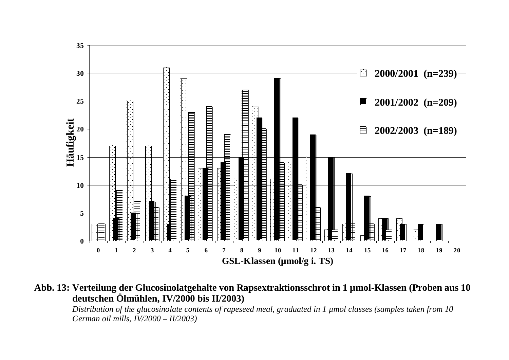

**Abb. 13: Verteilung der Glucosinolatgehalte von Rapsextraktionsschrot in 1 µmol-Klassen (Proben aus 10 deutschen Ölmühlen, IV/2000 bis II/2003)** 

*Distribution of the glucosinolate contents of rapeseed meal, graduated in 1 µmol classes (samples taken from 10 German oil mills, IV/2000 – II/2003)*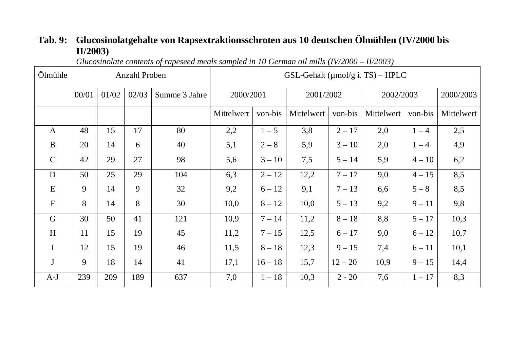# **Tab. 9: Glucosinolatgehalte von Rapsextraktionsschroten aus 10 deutschen Ölmühlen (IV/2000 bis II/2003)**

*Glucosinolate contents of rapeseed meals sampled in 10 German oil mills (IV/2000 – II/2003)* 

| Ölmühle       |       |       | Anzahl Proben |               |            |           |            |           | GSL-Gehalt ( $\mu$ mol/g i. TS) – HPLC |          |            |
|---------------|-------|-------|---------------|---------------|------------|-----------|------------|-----------|----------------------------------------|----------|------------|
|               | 00/01 | 01/02 | 02/03         | Summe 3 Jahre |            | 2000/2001 |            | 2001/2002 | 2002/2003                              |          | 2000/2003  |
|               |       |       |               |               | Mittelwert | von-bis   | Mittelwert | von-bis   | Mittelwert                             | von-bis  | Mittelwert |
| $\mathbf{A}$  | 48    | 15    | 17            | 80            | 2,2        | $1 - 5$   | 3,8        | $2 - 17$  | 2,0                                    | $1 - 4$  | 2,5        |
| $\bf{B}$      | 20    | 14    | 6             | 40            | 5,1        | $2 - 8$   | 5,9        | $3 - 10$  | 2,0                                    | $1 - 4$  | 4,9        |
| $\mathcal{C}$ | 42    | 29    | 27            | 98            | 5,6        | $3 - 10$  | 7,5        | $5 - 14$  | 5,9                                    | $4 - 10$ | 6,2        |
| D             | 50    | 25    | 29            | 104           | 6,3        | $2 - 12$  | 12,2       | $7 - 17$  | 9,0                                    | $4 - 15$ | 8,5        |
| E             | 9     | 14    | 9             | 32            | 9,2        | $6 - 12$  | 9,1        | $7 - 13$  | 6,6                                    | $5 - 8$  | 8,5        |
| $\mathbf F$   | 8     | 14    | 8             | 30            | 10,0       | $8 - 12$  | 10,0       | $5 - 13$  | 9,2                                    | $9 - 11$ | 9,8        |
| G             | 30    | 50    | 41            | 121           | 10,9       | $7 - 14$  | 11,2       | $8 - 18$  | 8,8                                    | $5 - 17$ | 10,3       |
| H             | 11    | 15    | 19            | 45            | 11,2       | $7 - 15$  | 12,5       | $6 - 17$  | 9,0                                    | $6 - 12$ | 10,7       |
| $\mathbf I$   | 12    | 15    | 19            | 46            | 11,5       | $8 - 18$  | 12,3       | $9 - 15$  | 7,4                                    | $6 - 11$ | 10,1       |
| $\mathbf J$   | 9     | 18    | 14            | 41            | 17,1       | $16 - 18$ | 15,7       | $12 - 20$ | 10,9                                   | $9 - 15$ | 14,4       |
| $A-J$         | 239   | 209   | 189           | 637           | 7,0        | $1 - 18$  | 10,3       | $2 - 20$  | 7,6                                    | $1 - 17$ | 8,3        |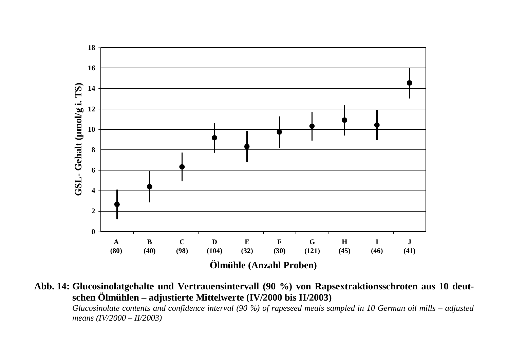

**Abb. 14: Glucosinolatgehalte und Vertrauensintervall (90 %) von Rapsextraktionsschroten aus 10 deutschen Ölmühlen – adjustierte Mittelwerte (IV/2000 bis II/2003)** 

*Glucosinolate contents and confidence interval (90 %) of rapeseed meals sampled in 10 German oil mills – adjusted means (IV/2000 – II/2003)*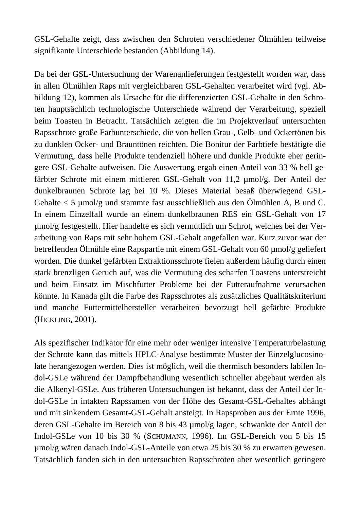GSL-Gehalte zeigt, dass zwischen den Schroten verschiedener Ölmühlen teilweise signifikante Unterschiede bestanden (Abbildung 14).

Da bei der GSL-Untersuchung der Warenanlieferungen festgestellt worden war, dass in allen Ölmühlen Raps mit vergleichbaren GSL-Gehalten verarbeitet wird (vgl. Abbildung 12), kommen als Ursache für die differenzierten GSL-Gehalte in den Schroten hauptsächlich technologische Unterschiede während der Verarbeitung, speziell beim Toasten in Betracht. Tatsächlich zeigten die im Projektverlauf untersuchten Rapsschrote große Farbunterschiede, die von hellen Grau-, Gelb- und Ockertönen bis zu dunklen Ocker- und Brauntönen reichten. Die Bonitur der Farbtiefe bestätigte die Vermutung, dass helle Produkte tendenziell höhere und dunkle Produkte eher geringere GSL-Gehalte aufweisen. Die Auswertung ergab einen Anteil von 33 % hell gefärbter Schrote mit einem mittleren GSL-Gehalt von 11,2 µmol/g. Der Anteil der dunkelbraunen Schrote lag bei 10 %. Dieses Material besaß überwiegend GSL-Gehalte  $\lt 5$  µmol/g und stammte fast ausschließlich aus den Ölmühlen A, B und C. In einem Einzelfall wurde an einem dunkelbraunen RES ein GSL-Gehalt von 17 µmol/g festgestellt. Hier handelte es sich vermutlich um Schrot, welches bei der Verarbeitung von Raps mit sehr hohem GSL-Gehalt angefallen war. Kurz zuvor war der betreffenden Ölmühle eine Rapspartie mit einem GSL-Gehalt von 60 µmol/g geliefert worden. Die dunkel gefärbten Extraktionsschrote fielen außerdem häufig durch einen stark brenzligen Geruch auf, was die Vermutung des scharfen Toastens unterstreicht und beim Einsatz im Mischfutter Probleme bei der Futteraufnahme verursachen könnte. In Kanada gilt die Farbe des Rapsschrotes als zusätzliches Qualitätskriterium und manche Futtermittelhersteller verarbeiten bevorzugt hell gefärbte Produkte (HICKLING, 2001).

Als spezifischer Indikator für eine mehr oder weniger intensive Temperaturbelastung der Schrote kann das mittels HPLC-Analyse bestimmte Muster der Einzelglucosinolate herangezogen werden. Dies ist möglich, weil die thermisch besonders labilen Indol-GSLe während der Dampfbehandlung wesentlich schneller abgebaut werden als die Alkenyl-GSLe. Aus früheren Untersuchungen ist bekannt, dass der Anteil der Indol-GSLe in intakten Rapssamen von der Höhe des Gesamt-GSL-Gehaltes abhängt und mit sinkendem Gesamt-GSL-Gehalt ansteigt. In Rapsproben aus der Ernte 1996, deren GSL-Gehalte im Bereich von 8 bis 43 µmol/g lagen, schwankte der Anteil der Indol-GSLe von 10 bis 30 % (SCHUMANN, 1996). Im GSL-Bereich von 5 bis 15 µmol/g wären danach Indol-GSL-Anteile von etwa 25 bis 30 % zu erwarten gewesen. Tatsächlich fanden sich in den untersuchten Rapsschroten aber wesentlich geringere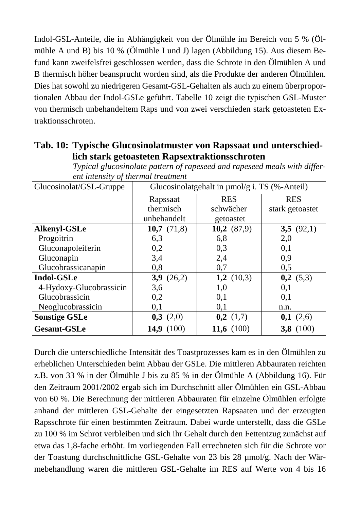Indol-GSL-Anteile, die in Abhängigkeit von der Ölmühle im Bereich von 5 % (Ölmühle A und B) bis 10 % (Ölmühle I und J) lagen (Abbildung 15). Aus diesem Befund kann zweifelsfrei geschlossen werden, dass die Schrote in den Ölmühlen A und B thermisch höher beansprucht worden sind, als die Produkte der anderen Ölmühlen. Dies hat sowohl zu niedrigeren Gesamt-GSL-Gehalten als auch zu einem überproportionalen Abbau der Indol-GSLe geführt. Tabelle 10 zeigt die typischen GSL-Muster von thermisch unbehandeltem Raps und von zwei verschieden stark getoasteten Extraktionsschroten.

#### **Tab. 10: Typische Glucosinolatmuster von Rapssaat und unterschiedlich stark getoasteten Rapsextraktionsschroten**

| Glucosinolat/GSL-Gruppe | Glucosinolatgehalt in $\mu$ mol/g i. TS (%-Anteil) |               |                 |  |  |
|-------------------------|----------------------------------------------------|---------------|-----------------|--|--|
|                         | Rapssaat                                           | <b>RES</b>    | <b>RES</b>      |  |  |
|                         | thermisch                                          | schwächer     | stark getoastet |  |  |
|                         | unbehandelt                                        | getoastet     |                 |  |  |
| <b>Alkenyl-GSLe</b>     | 10,7 $(71,8)$                                      | 10,2 $(87,9)$ | 3,5 $(92,1)$    |  |  |
| Progoitrin              | 6,3                                                | 6,8           | 2,0             |  |  |
| Gluconapoleiferin       | 0,2                                                | 0,3           | 0,1             |  |  |
| Gluconapin              | 3,4                                                | 2,4           | 0.9             |  |  |
| Glucobrassicanapin      | 0,8                                                | 0,7           | 0,5             |  |  |
| <b>Indol-GSLe</b>       | 3,9(26,2)                                          | 1,2 $(10,3)$  | 0,2(5,3)        |  |  |
| 4-Hydoxy-Glucobrassicin | 3,6                                                | 1,0           | 0,1             |  |  |
| Glucobrassicin          | 0,2                                                | 0,1           | 0,1             |  |  |
| Neoglucobrassicin       | 0,1                                                | 0,1           | n.n.            |  |  |
| <b>Sonstige GSLe</b>    | 0,3(2,0)                                           | 0,2(1,7)      | (2,6)<br>0,1    |  |  |
| <b>Gesamt-GSLe</b>      | 14,9<br>(100)                                      | 11,6 $(100)$  | 3,8(100)        |  |  |

*Typical glucosinolate pattern of rapeseed and rapeseed meals with different intensity of thermal treatment* 

Durch die unterschiedliche Intensität des Toastprozesses kam es in den Ölmühlen zu erheblichen Unterschieden beim Abbau der GSLe. Die mittleren Abbauraten reichten z.B. von 33 % in der Ölmühle J bis zu 85 % in der Ölmühle A (Abbildung 16). Für den Zeitraum 2001/2002 ergab sich im Durchschnitt aller Ölmühlen ein GSL-Abbau von 60 %. Die Berechnung der mittleren Abbauraten für einzelne Ölmühlen erfolgte anhand der mittleren GSL-Gehalte der eingesetzten Rapsaaten und der erzeugten Rapsschrote für einen bestimmten Zeitraum. Dabei wurde unterstellt, dass die GSLe zu 100 % im Schrot verbleiben und sich ihr Gehalt durch den Fettentzug zunächst auf etwa das 1,8-fache erhöht. Im vorliegenden Fall errechneten sich für die Schrote vor der Toastung durchschnittliche GSL-Gehalte von 23 bis 28 µmol/g. Nach der Wärmebehandlung waren die mittleren GSL-Gehalte im RES auf Werte von 4 bis 16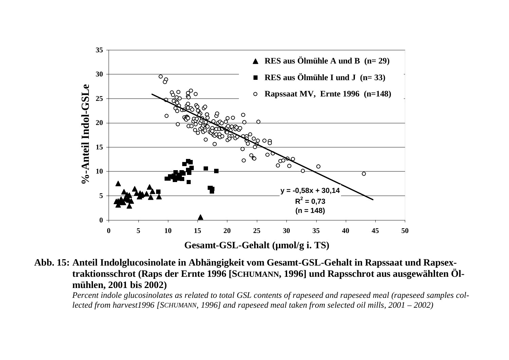

**Abb. 15: Anteil Indolglucosinolate in Abhängigkeit vom Gesamt-GSL-Gehalt in Rapssaat und Rapsextraktionsschrot (Raps der Ernte 1996 [SCHUMANN, 1996] und Rapsschrot aus ausgewählten Ölmühlen, 2001 bis 2002)** 

*Percent indole glucosinolates as related to total GSL contents of rapeseed and rapeseed meal (rapeseed samples collected from harvest1996 [SCHUMANN, 1996] and rapeseed meal taken from selected oil mills, 2001 – 2002)*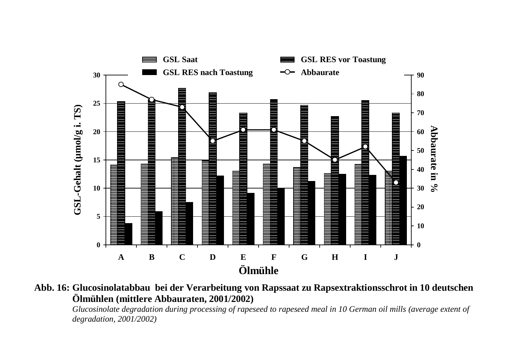

**Abb. 16: Glucosinolatabbau bei der Verarbeitung von Rapssaat zu Rapsextraktionsschrot in 10 deutschen Ölmühlen (mittlere Abbauraten, 2001/2002)** 

*Glucosinolate degradation during processing of rapeseed to rapeseed meal in 10 German oil mills (average extent of degradation, 2001/2002)*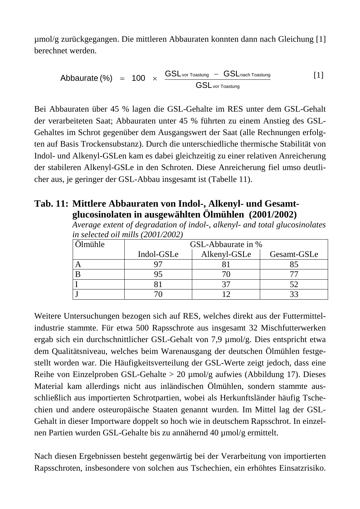µmol/g zurückgegangen. Die mittleren Abbauraten konnten dann nach Gleichung [1] berechnet werden.

$$
Abbaurate (*) = 100 \times \frac{GSL_{\text{vor Toastung}} - GSL_{\text{nach Toastung}}}{GSL_{\text{vor Toastung}}}
$$
 [1]

Bei Abbauraten über 45 % lagen die GSL-Gehalte im RES unter dem GSL-Gehalt der verarbeiteten Saat; Abbauraten unter 45 % führten zu einem Anstieg des GSL-Gehaltes im Schrot gegenüber dem Ausgangswert der Saat (alle Rechnungen erfolgten auf Basis Trockensubstanz). Durch die unterschiedliche thermische Stabilität von Indol- und Alkenyl-GSLen kam es dabei gleichzeitig zu einer relativen Anreicherung der stabileren Alkenyl-GSLe in den Schroten. Diese Anreicherung fiel umso deutlicher aus, je geringer der GSL-Abbau insgesamt ist (Tabelle 11).

#### **Tab. 11: Mittlere Abbauraten von Indol-, Alkenyl- und Gesamtglucosinolaten in ausgewählten Ölmühlen (2001/2002)**

*Average extent of degradation of indol-, alkenyl- and total glucosinolates in selected oil mills (2001/2002)* 

| Ölmühle | GSL-Abbaurate in % |              |             |  |  |  |  |  |
|---------|--------------------|--------------|-------------|--|--|--|--|--|
|         | Indol-GSLe         | Alkenyl-GSLe | Gesamt-GSLe |  |  |  |  |  |
|         |                    |              |             |  |  |  |  |  |
|         |                    |              |             |  |  |  |  |  |
|         |                    |              |             |  |  |  |  |  |
|         |                    |              |             |  |  |  |  |  |

Weitere Untersuchungen bezogen sich auf RES, welches direkt aus der Futtermittelindustrie stammte. Für etwa 500 Rapsschrote aus insgesamt 32 Mischfutterwerken ergab sich ein durchschnittlicher GSL-Gehalt von 7,9 µmol/g. Dies entspricht etwa dem Qualitätsniveau, welches beim Warenausgang der deutschen Ölmühlen festgestellt worden war. Die Häufigkeitsverteilung der GSL-Werte zeigt jedoch, dass eine Reihe von Einzelproben GSL-Gehalte > 20 µmol/g aufwies (Abbildung 17). Dieses Material kam allerdings nicht aus inländischen Ölmühlen, sondern stammte ausschließlich aus importierten Schrotpartien, wobei als Herkunftsländer häufig Tschechien und andere osteuropäische Staaten genannt wurden. Im Mittel lag der GSL-Gehalt in dieser Importware doppelt so hoch wie in deutschem Rapsschrot. In einzelnen Partien wurden GSL-Gehalte bis zu annähernd 40 µmol/g ermittelt.

Nach diesen Ergebnissen besteht gegenwärtig bei der Verarbeitung von importierten Rapsschroten, insbesondere von solchen aus Tschechien, ein erhöhtes Einsatzrisiko.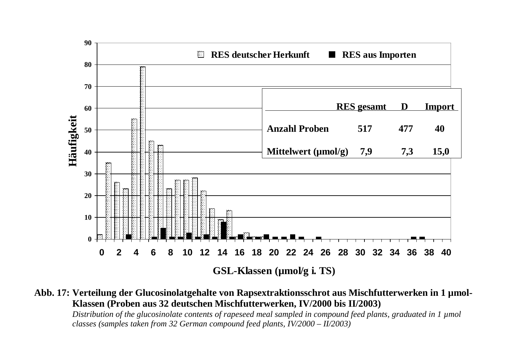

**Abb. 17: Verteilung der Glucosinolatgehalte von Rapsextraktionsschrot aus Mischfutterwerken in 1 µmol-Klassen (Proben aus 32 deutschen Mischfutterwerken, IV/2000 bis II/2003)** 

*Distribution of the glucosinolate contents of rapeseed meal sampled in compound feed plants, graduated in 1 µmol classes (samples taken from 32 German compound feed plants, IV/2000 – II/2003)*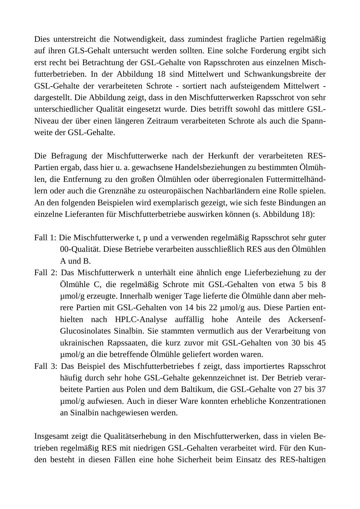Dies unterstreicht die Notwendigkeit, dass zumindest fragliche Partien regelmäßig auf ihren GLS-Gehalt untersucht werden sollten. Eine solche Forderung ergibt sich erst recht bei Betrachtung der GSL-Gehalte von Rapsschroten aus einzelnen Mischfutterbetrieben. In der Abbildung 18 sind Mittelwert und Schwankungsbreite der GSL-Gehalte der verarbeiteten Schrote - sortiert nach aufsteigendem Mittelwert dargestellt. Die Abbildung zeigt, dass in den Mischfutterwerken Rapsschrot von sehr unterschiedlicher Qualität eingesetzt wurde. Dies betrifft sowohl das mittlere GSL-Niveau der über einen längeren Zeitraum verarbeiteten Schrote als auch die Spannweite der GSL-Gehalte.

Die Befragung der Mischfutterwerke nach der Herkunft der verarbeiteten RES-Partien ergab, dass hier u. a. gewachsene Handelsbeziehungen zu bestimmten Ölmühlen, die Entfernung zu den großen Ölmühlen oder überregionalen Futtermittelhändlern oder auch die Grenznähe zu osteuropäischen Nachbarländern eine Rolle spielen. An den folgenden Beispielen wird exemplarisch gezeigt, wie sich feste Bindungen an einzelne Lieferanten für Mischfutterbetriebe auswirken können (s. Abbildung 18):

- Fall 1: Die Mischfutterwerke t, p und a verwenden regelmäßig Rapsschrot sehr guter 00-Qualität. Diese Betriebe verarbeiten ausschließlich RES aus den Ölmühlen A und B.
- Fall 2: Das Mischfutterwerk n unterhält eine ähnlich enge Lieferbeziehung zu der Ölmühle C, die regelmäßig Schrote mit GSL-Gehalten von etwa 5 bis 8 µmol/g erzeugte. Innerhalb weniger Tage lieferte die Ölmühle dann aber mehrere Partien mit GSL-Gehalten von 14 bis 22 µmol/g aus. Diese Partien enthielten nach HPLC-Analyse auffällig hohe Anteile des Ackersenf-Glucosinolates Sinalbin. Sie stammten vermutlich aus der Verarbeitung von ukrainischen Rapssaaten, die kurz zuvor mit GSL-Gehalten von 30 bis 45 µmol/g an die betreffende Ölmühle geliefert worden waren.
- Fall 3: Das Beispiel des Mischfutterbetriebes f zeigt, dass importiertes Rapsschrot häufig durch sehr hohe GSL-Gehalte gekennzeichnet ist. Der Betrieb verarbeitete Partien aus Polen und dem Baltikum, die GSL-Gehalte von 27 bis 37 µmol/g aufwiesen. Auch in dieser Ware konnten erhebliche Konzentrationen an Sinalbin nachgewiesen werden.

Insgesamt zeigt die Qualitätserhebung in den Mischfutterwerken, dass in vielen Betrieben regelmäßig RES mit niedrigen GSL-Gehalten verarbeitet wird. Für den Kunden besteht in diesen Fällen eine hohe Sicherheit beim Einsatz des RES-haltigen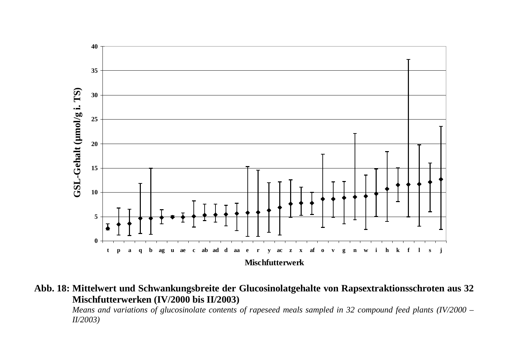

**Abb. 18: Mittelwert und Schwankungsbreite der Glucosinolatgehalte von Rapsextraktionsschroten aus 32 Mischfutterwerken (IV/2000 bis II/2003)** 

*Means and variations of glucosinolate contents of rapeseed meals sampled in 32 compound feed plants (IV/2000 – II/2003)*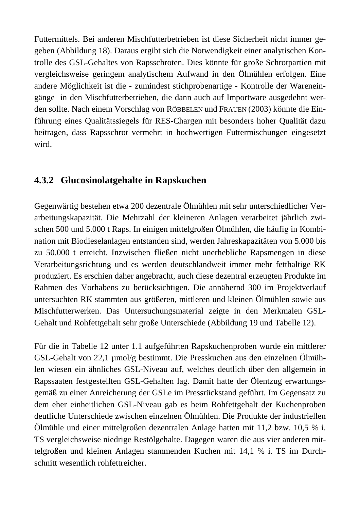Futtermittels. Bei anderen Mischfutterbetrieben ist diese Sicherheit nicht immer gegeben (Abbildung 18). Daraus ergibt sich die Notwendigkeit einer analytischen Kontrolle des GSL-Gehaltes von Rapsschroten. Dies könnte für große Schrotpartien mit vergleichsweise geringem analytischem Aufwand in den Ölmühlen erfolgen. Eine andere Möglichkeit ist die - zumindest stichprobenartige - Kontrolle der Wareneingänge in den Mischfutterbetrieben, die dann auch auf Importware ausgedehnt werden sollte. Nach einem Vorschlag von RÖBBELEN und FRAUEN (2003) könnte die Einführung eines Qualitätssiegels für RES-Chargen mit besonders hoher Qualität dazu beitragen, dass Rapsschrot vermehrt in hochwertigen Futtermischungen eingesetzt wird.

# **4.3.2 Glucosinolatgehalte in Rapskuchen**

Gegenwärtig bestehen etwa 200 dezentrale Ölmühlen mit sehr unterschiedlicher Verarbeitungskapazität. Die Mehrzahl der kleineren Anlagen verarbeitet jährlich zwischen 500 und 5.000 t Raps. In einigen mittelgroßen Ölmühlen, die häufig in Kombination mit Biodieselanlagen entstanden sind, werden Jahreskapazitäten von 5.000 bis zu 50.000 t erreicht. Inzwischen fließen nicht unerhebliche Rapsmengen in diese Verarbeitungsrichtung und es werden deutschlandweit immer mehr fetthaltige RK produziert. Es erschien daher angebracht, auch diese dezentral erzeugten Produkte im Rahmen des Vorhabens zu berücksichtigen. Die annähernd 300 im Projektverlauf untersuchten RK stammten aus größeren, mittleren und kleinen Ölmühlen sowie aus Mischfutterwerken. Das Untersuchungsmaterial zeigte in den Merkmalen GSL-Gehalt und Rohfettgehalt sehr große Unterschiede (Abbildung 19 und Tabelle 12).

Für die in Tabelle 12 unter 1.1 aufgeführten Rapskuchenproben wurde ein mittlerer GSL-Gehalt von 22,1 µmol/g bestimmt. Die Presskuchen aus den einzelnen Ölmühlen wiesen ein ähnliches GSL-Niveau auf, welches deutlich über den allgemein in Rapssaaten festgestellten GSL-Gehalten lag. Damit hatte der Ölentzug erwartungsgemäß zu einer Anreicherung der GSLe im Pressrückstand geführt. Im Gegensatz zu dem eher einheitlichen GSL-Niveau gab es beim Rohfettgehalt der Kuchenproben deutliche Unterschiede zwischen einzelnen Ölmühlen. Die Produkte der industriellen Ölmühle und einer mittelgroßen dezentralen Anlage hatten mit 11,2 bzw. 10,5 % i. TS vergleichsweise niedrige Restölgehalte. Dagegen waren die aus vier anderen mittelgroßen und kleinen Anlagen stammenden Kuchen mit 14,1 % i. TS im Durchschnitt wesentlich rohfettreicher.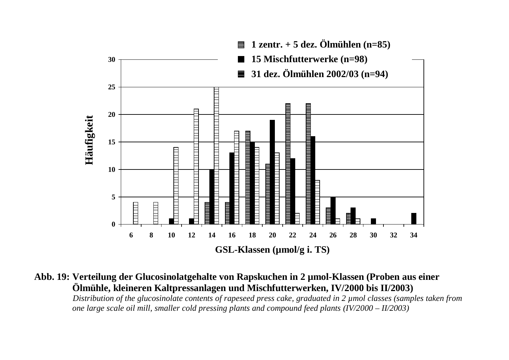

**Abb. 19: Verteilung der Glucosinolatgehalte von Rapskuchen in 2 µmol-Klassen (Proben aus einer Ölmühle, kleineren Kaltpressanlagen und Mischfutterwerken, IV/2000 bis II/2003)** 

*Distribution of the glucosinolate contents of rapeseed press cake, graduated in 2 µmol classes (samples taken from one large scale oil mill, smaller cold pressing plants and compound feed plants (IV/2000 – II/2003)*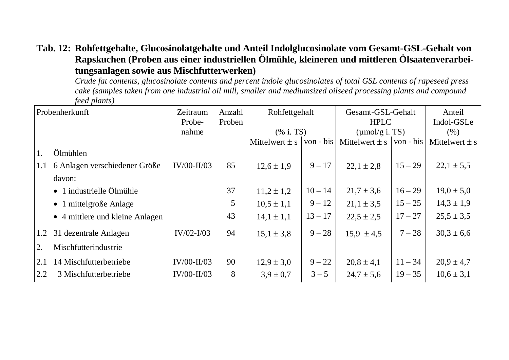#### **Tab. 12: Rohfettgehalte, Glucosinolatgehalte und Anteil Indolglucosinolate vom Gesamt-GSL-Gehalt von Rapskuchen (Proben aus einer industriellen Ölmühle, kleineren und mittleren Ölsaatenverarbeitungsanlagen sowie aus Mischfutterwerken)**

*Crude fat contents, glucosinolate contents and percent indole glucosinolates of total GSL contents of rapeseed press cake (samples taken from one industrial oil mill, smaller and mediumsized oilseed processing plants and compound feed plants)* 

| Probenherkunft |                                  | Zeitraum<br>Probe- | Anzahl<br>Proben | Rohfettgehalt      |           | Gesamt-GSL-Gehalt<br><b>HPLC</b> |           | Anteil<br>Indol-GSLe |
|----------------|----------------------------------|--------------------|------------------|--------------------|-----------|----------------------------------|-----------|----------------------|
|                |                                  | nahme              |                  | (% i. TS)          |           | $(\mu \text{mol/g i. TS})$       |           | (% )                 |
|                |                                  |                    |                  | Mittelwert $\pm$ s | von - bis | Mittelwert $\pm$ s               | von - bis | Mittelwert $\pm$ s   |
|                | Ölmühlen                         |                    |                  |                    |           |                                  |           |                      |
| 1.1            | 6 Anlagen verschiedener Größe    | $IV/00-II/03$      | 85               | $12,6 \pm 1,9$     | $9 - 17$  | $22,1 \pm 2,8$                   | $15 - 29$ | $22,1 \pm 5,5$       |
|                | davon:                           |                    |                  |                    |           |                                  |           |                      |
|                | $\bullet$ 1 industrielle Ölmühle |                    | 37               | $11,2 \pm 1,2$     | $10 - 14$ | $21,7 \pm 3,6$                   | $16 - 29$ | $19,0 \pm 5,0$       |
|                | $\bullet$ 1 mittelgroße Anlage   |                    | 5                | $10,5 \pm 1,1$     | $9 - 12$  | $21,1 \pm 3,5$                   | $15 - 25$ | $14,3 \pm 1,9$       |
|                | • 4 mittlere und kleine Anlagen  |                    | 43               | $14,1 \pm 1,1$     | $13 - 17$ | $22.5 \pm 2.5$                   | $17 - 27$ | $25,5 \pm 3,5$       |
| 1.2            | 31 dezentrale Anlagen            | $IV/02-I/03$       | 94               | $15,1 \pm 3,8$     | $9 - 28$  | $15,9 \pm 4,5$                   | $7 - 28$  | $30,3 \pm 6,6$       |
| 2.             | Mischfutterindustrie             |                    |                  |                    |           |                                  |           |                      |
| 2.1            | 14 Mischfutterbetriebe           | $IV/00-II/03$      | 90               | $12.9 \pm 3.0$     | $9 - 22$  | $20,8 \pm 4,1$                   | $11 - 34$ | $20.9 \pm 4.7$       |
| 2.2            | 3 Mischfutterbetriebe            | $IV/00-II/03$      | 8                | $3.9 \pm 0.7$      | $3 - 5$   | $24.7 \pm 5.6$                   | $19 - 35$ | $10,6 \pm 3,1$       |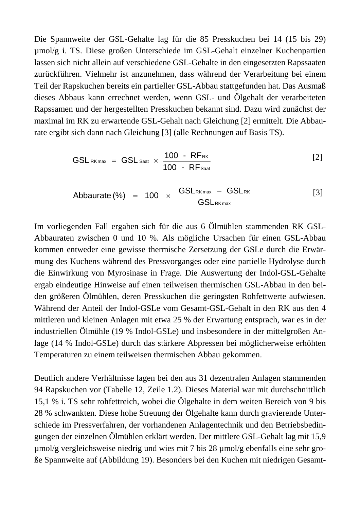Die Spannweite der GSL-Gehalte lag für die 85 Presskuchen bei 14 (15 bis 29) µmol/g i. TS. Diese großen Unterschiede im GSL-Gehalt einzelner Kuchenpartien lassen sich nicht allein auf verschiedene GSL-Gehalte in den eingesetzten Rapssaaten zurückführen. Vielmehr ist anzunehmen, dass während der Verarbeitung bei einem Teil der Rapskuchen bereits ein partieller GSL-Abbau stattgefunden hat. Das Ausmaß dieses Abbaus kann errechnet werden, wenn GSL- und Ölgehalt der verarbeiteten Rapssamen und der hergestellten Presskuchen bekannt sind. Dazu wird zunächst der maximal im RK zu erwartende GSL-Gehalt nach Gleichung [2] ermittelt. Die Abbaurate ergibt sich dann nach Gleichung [3] (alle Rechnungen auf Basis TS).

$$
GSL_{RKmax} = GSL_{Saat} \times \frac{100 - RF_{RK}}{100 - RF_{Saat}}
$$
 [2]

$$
Abbaurate (*) = 100 \times \frac{GSL_{RKmax} - GSL_{RK}}{GSL_{RKmax}}
$$
 [3]

Im vorliegenden Fall ergaben sich für die aus 6 Ölmühlen stammenden RK GSL-Abbauraten zwischen 0 und 10 %. Als mögliche Ursachen für einen GSL-Abbau kommen entweder eine gewisse thermische Zersetzung der GSLe durch die Erwärmung des Kuchens während des Pressvorganges oder eine partielle Hydrolyse durch die Einwirkung von Myrosinase in Frage. Die Auswertung der Indol-GSL-Gehalte ergab eindeutige Hinweise auf einen teilweisen thermischen GSL-Abbau in den beiden größeren Ölmühlen, deren Presskuchen die geringsten Rohfettwerte aufwiesen. Während der Anteil der Indol-GSLe vom Gesamt-GSL-Gehalt in den RK aus den 4 mittleren und kleinen Anlagen mit etwa 25 % der Erwartung entsprach, war es in der industriellen Ölmühle (19 % Indol-GSLe) und insbesondere in der mittelgroßen Anlage (14 % Indol-GSLe) durch das stärkere Abpressen bei möglicherweise erhöhten Temperaturen zu einem teilweisen thermischen Abbau gekommen.

Deutlich andere Verhältnisse lagen bei den aus 31 dezentralen Anlagen stammenden 94 Rapskuchen vor (Tabelle 12, Zeile 1.2). Dieses Material war mit durchschnittlich 15,1 % i. TS sehr rohfettreich, wobei die Ölgehalte in dem weiten Bereich von 9 bis 28 % schwankten. Diese hohe Streuung der Ölgehalte kann durch gravierende Unterschiede im Pressverfahren, der vorhandenen Anlagentechnik und den Betriebsbedingungen der einzelnen Ölmühlen erklärt werden. Der mittlere GSL-Gehalt lag mit 15,9 µmol/g vergleichsweise niedrig und wies mit 7 bis 28 µmol/g ebenfalls eine sehr große Spannweite auf (Abbildung 19). Besonders bei den Kuchen mit niedrigen Gesamt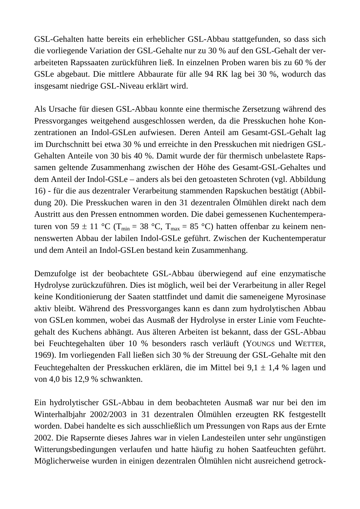GSL-Gehalten hatte bereits ein erheblicher GSL-Abbau stattgefunden, so dass sich die vorliegende Variation der GSL-Gehalte nur zu 30 % auf den GSL-Gehalt der verarbeiteten Rapssaaten zurückführen ließ. In einzelnen Proben waren bis zu 60 % der GSLe abgebaut. Die mittlere Abbaurate für alle 94 RK lag bei 30 %, wodurch das insgesamt niedrige GSL-Niveau erklärt wird.

Als Ursache für diesen GSL-Abbau konnte eine thermische Zersetzung während des Pressvorganges weitgehend ausgeschlossen werden, da die Presskuchen hohe Konzentrationen an Indol-GSLen aufwiesen. Deren Anteil am Gesamt-GSL-Gehalt lag im Durchschnitt bei etwa 30 % und erreichte in den Presskuchen mit niedrigen GSL-Gehalten Anteile von 30 bis 40 %. Damit wurde der für thermisch unbelastete Rapssamen geltende Zusammenhang zwischen der Höhe des Gesamt-GSL-Gehaltes und dem Anteil der Indol-GSLe – anders als bei den getoasteten Schroten (vgl. Abbildung 16) - für die aus dezentraler Verarbeitung stammenden Rapskuchen bestätigt (Abbildung 20). Die Presskuchen waren in den 31 dezentralen Ölmühlen direkt nach dem Austritt aus den Pressen entnommen worden. Die dabei gemessenen Kuchentemperaturen von 59 ± 11 °C ( $T_{min}$  = 38 °C,  $T_{max}$  = 85 °C) hatten offenbar zu keinem nennenswerten Abbau der labilen Indol-GSLe geführt. Zwischen der Kuchentemperatur und dem Anteil an Indol-GSLen bestand kein Zusammenhang.

Demzufolge ist der beobachtete GSL-Abbau überwiegend auf eine enzymatische Hydrolyse zurückzuführen. Dies ist möglich, weil bei der Verarbeitung in aller Regel keine Konditionierung der Saaten stattfindet und damit die sameneigene Myrosinase aktiv bleibt. Während des Pressvorganges kann es dann zum hydrolytischen Abbau von GSLen kommen, wobei das Ausmaß der Hydrolyse in erster Linie vom Feuchtegehalt des Kuchens abhängt. Aus älteren Arbeiten ist bekannt, dass der GSL-Abbau bei Feuchtegehalten über 10 % besonders rasch verläuft (YOUNGS und WETTER, 1969). Im vorliegenden Fall ließen sich 30 % der Streuung der GSL-Gehalte mit den Feuchtegehalten der Presskuchen erklären, die im Mittel bei 9,1 ± 1,4 % lagen und von 4,0 bis 12,9 % schwankten.

Ein hydrolytischer GSL-Abbau in dem beobachteten Ausmaß war nur bei den im Winterhalbjahr 2002/2003 in 31 dezentralen Ölmühlen erzeugten RK festgestellt worden. Dabei handelte es sich ausschließlich um Pressungen von Raps aus der Ernte 2002. Die Rapsernte dieses Jahres war in vielen Landesteilen unter sehr ungünstigen Witterungsbedingungen verlaufen und hatte häufig zu hohen Saatfeuchten geführt. Möglicherweise wurden in einigen dezentralen Ölmühlen nicht ausreichend getrock-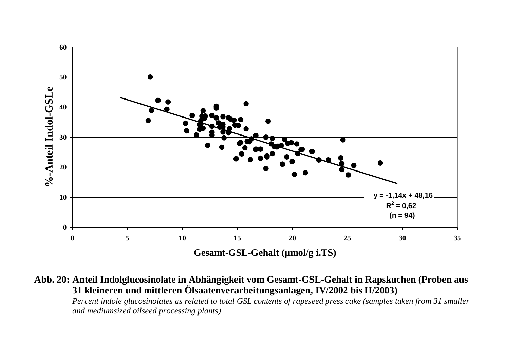

**Abb. 20: Anteil Indolglucosinolate in Abhängigkeit vom Gesamt-GSL-Gehalt in Rapskuchen (Proben aus 31 kleineren und mittleren Ölsaatenverarbeitungsanlagen, IV/2002 bis II/2003)** 

*Percent indole glucosinolates as related to total GSL contents of rapeseed press cake (samples taken from 31 smaller and mediumsized oilseed processing plants)*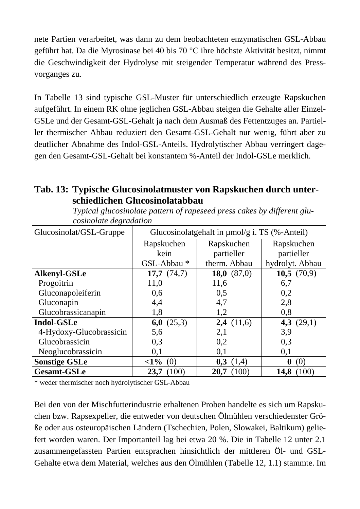nete Partien verarbeitet, was dann zu dem beobachteten enzymatischen GSL-Abbau geführt hat. Da die Myrosinase bei 40 bis 70 °C ihre höchste Aktivität besitzt, nimmt die Geschwindigkeit der Hydrolyse mit steigender Temperatur während des Pressvorganges zu.

In Tabelle 13 sind typische GSL-Muster für unterschiedlich erzeugte Rapskuchen aufgeführt. In einem RK ohne jeglichen GSL-Abbau steigen die Gehalte aller Einzel-GSLe und der Gesamt-GSL-Gehalt ja nach dem Ausmaß des Fettentzuges an. Partieller thermischer Abbau reduziert den Gesamt-GSL-Gehalt nur wenig, führt aber zu deutlicher Abnahme des Indol-GSL-Anteils. Hydrolytischer Abbau verringert dagegen den Gesamt-GSL-Gehalt bei konstantem %-Anteil der Indol-GSLe merklich.

#### **Tab. 13: Typische Glucosinolatmuster von Rapskuchen durch unterschiedlichen Glucosinolatabbau**

| Glucosinolat/GSL-Gruppe | Glucosinolatgehalt in $\mu$ mol/g i. TS (%-Anteil) |               |                         |  |  |  |
|-------------------------|----------------------------------------------------|---------------|-------------------------|--|--|--|
|                         | Rapskuchen                                         | Rapskuchen    | Rapskuchen              |  |  |  |
|                         | kein                                               | partieller    | partieller              |  |  |  |
|                         | GSL-Abbau*                                         | therm. Abbau  | hydrolyt. Abbau         |  |  |  |
| Alkenyl-GSLe            | 17,7 $(74,7)$                                      | 18,0 $(87,0)$ | 10,5 $(70,9)$           |  |  |  |
| Progoitrin              | 11,0                                               | 11,6          | 6,7                     |  |  |  |
| Gluconapoleiferin       | 0,6                                                | 0,5           | 0,2                     |  |  |  |
| Gluconapin              | 4,4                                                | 4,7           | 2,8                     |  |  |  |
| Glucobrassicanapin      | 1,8                                                | 1,2           | 0,8                     |  |  |  |
| Indol-GSLe              | 6,0 $(25,3)$                                       | 2,4(11,6)     | 4,3 $(29,1)$            |  |  |  |
| 4-Hydoxy-Glucobrassicin | 5,6                                                | 2,1           | 3.9                     |  |  |  |
| Glucobrassicin          | 0,3                                                | 0,2           | 0,3                     |  |  |  |
| Neoglucobrassicin       | 0,1                                                | 0,1           | 0,1                     |  |  |  |
| <b>Sonstige GSLe</b>    | $\langle 1\% (0)$                                  | 0,3<br>(1,4)  | $\boldsymbol{0}$<br>(0) |  |  |  |
| <b>Gesamt-GSLe</b>      | (100)<br>23,7                                      | (100)<br>20,7 | 14,8 (100)              |  |  |  |

*Typical glucosinolate pattern of rapeseed press cakes by different glucosinolate degradation* 

\* weder thermischer noch hydrolytischer GSL-Abbau

Bei den von der Mischfutterindustrie erhaltenen Proben handelte es sich um Rapskuchen bzw. Rapsexpeller, die entweder von deutschen Ölmühlen verschiedenster Größe oder aus osteuropäischen Ländern (Tschechien, Polen, Slowakei, Baltikum) geliefert worden waren. Der Importanteil lag bei etwa 20 %. Die in Tabelle 12 unter 2.1 zusammengefassten Partien entsprachen hinsichtlich der mittleren Öl- und GSL-Gehalte etwa dem Material, welches aus den Ölmühlen (Tabelle 12, 1.1) stammte. Im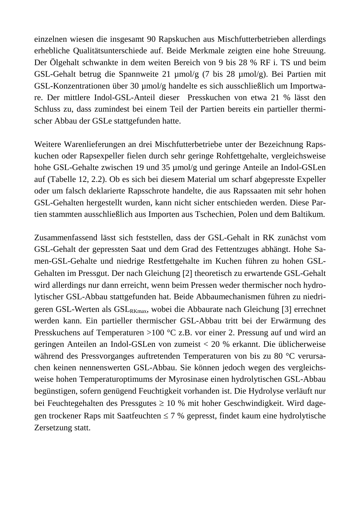einzelnen wiesen die insgesamt 90 Rapskuchen aus Mischfutterbetrieben allerdings erhebliche Qualitätsunterschiede auf. Beide Merkmale zeigten eine hohe Streuung. Der Ölgehalt schwankte in dem weiten Bereich von 9 bis 28 % RF i. TS und beim GSL-Gehalt betrug die Spannweite 21 µmol/g (7 bis 28 µmol/g). Bei Partien mit GSL-Konzentrationen über 30 µmol/g handelte es sich ausschließlich um Importware. Der mittlere Indol-GSL-Anteil dieser Presskuchen von etwa 21 % lässt den Schluss zu, dass zumindest bei einem Teil der Partien bereits ein partieller thermischer Abbau der GSLe stattgefunden hatte.

Weitere Warenlieferungen an drei Mischfutterbetriebe unter der Bezeichnung Rapskuchen oder Rapsexpeller fielen durch sehr geringe Rohfettgehalte, vergleichsweise hohe GSL-Gehalte zwischen 19 und 35 µmol/g und geringe Anteile an Indol-GSLen auf (Tabelle 12, 2.2). Ob es sich bei diesem Material um scharf abgepresste Expeller oder um falsch deklarierte Rapsschrote handelte, die aus Rapssaaten mit sehr hohen GSL-Gehalten hergestellt wurden, kann nicht sicher entschieden werden. Diese Partien stammten ausschließlich aus Importen aus Tschechien, Polen und dem Baltikum.

Zusammenfassend lässt sich feststellen, dass der GSL-Gehalt in RK zunächst vom GSL-Gehalt der gepressten Saat und dem Grad des Fettentzuges abhängt. Hohe Samen-GSL-Gehalte und niedrige Restfettgehalte im Kuchen führen zu hohen GSL-Gehalten im Pressgut. Der nach Gleichung [2] theoretisch zu erwartende GSL-Gehalt wird allerdings nur dann erreicht, wenn beim Pressen weder thermischer noch hydrolytischer GSL-Abbau stattgefunden hat. Beide Abbaumechanismen führen zu niedrigeren GSL-Werten als  $GSL_{RK_{\text{max}}}$ , wobei die Abbaurate nach Gleichung [3] errechnet werden kann. Ein partieller thermischer GSL-Abbau tritt bei der Erwärmung des Presskuchens auf Temperaturen >100 °C z.B. vor einer 2. Pressung auf und wird an geringen Anteilen an Indol-GSLen von zumeist < 20 % erkannt. Die üblicherweise während des Pressvorganges auftretenden Temperaturen von bis zu 80 °C verursachen keinen nennenswerten GSL-Abbau. Sie können jedoch wegen des vergleichsweise hohen Temperaturoptimums der Myrosinase einen hydrolytischen GSL-Abbau begünstigen, sofern genügend Feuchtigkeit vorhanden ist. Die Hydrolyse verläuft nur bei Feuchtegehalten des Pressgutes  $\geq 10$  % mit hoher Geschwindigkeit. Wird dagegen trockener Raps mit Saatfeuchten  $\leq 7$  % gepresst, findet kaum eine hydrolytische Zersetzung statt.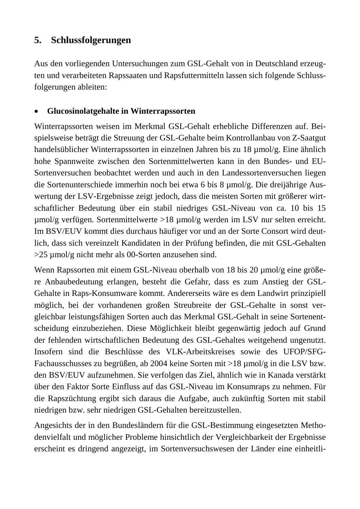## **5. Schlussfolgerungen**

Aus den vorliegenden Untersuchungen zum GSL-Gehalt von in Deutschland erzeugten und verarbeiteten Rapssaaten und Rapsfuttermitteln lassen sich folgende Schlussfolgerungen ableiten:

#### • **Glucosinolatgehalte in Winterrapssorten**

Winterrapssorten weisen im Merkmal GSL-Gehalt erhebliche Differenzen auf. Beispielsweise beträgt die Streuung der GSL-Gehalte beim Kontrollanbau von Z-Saatgut handelsüblicher Winterrapssorten in einzelnen Jahren bis zu 18 µmol/g. Eine ähnlich hohe Spannweite zwischen den Sortenmittelwerten kann in den Bundes- und EU-Sortenversuchen beobachtet werden und auch in den Landessortenversuchen liegen die Sortenunterschiede immerhin noch bei etwa 6 bis 8 µmol/g. Die dreijährige Auswertung der LSV-Ergebnisse zeigt jedoch, dass die meisten Sorten mit größerer wirtschaftlicher Bedeutung über ein stabil niedriges GSL-Niveau von ca. 10 bis 15 µmol/g verfügen. Sortenmittelwerte >18 µmol/g werden im LSV nur selten erreicht. Im BSV/EUV kommt dies durchaus häufiger vor und an der Sorte Consort wird deutlich, dass sich vereinzelt Kandidaten in der Prüfung befinden, die mit GSL-Gehalten >25 µmol/g nicht mehr als 00-Sorten anzusehen sind.

Wenn Rapssorten mit einem GSL-Niveau oberhalb von 18 bis 20 µmol/g eine größere Anbaubedeutung erlangen, besteht die Gefahr, dass es zum Anstieg der GSL-Gehalte in Raps-Konsumware kommt. Andererseits wäre es dem Landwirt prinzipiell möglich, bei der vorhandenen großen Streubreite der GSL-Gehalte in sonst vergleichbar leistungsfähigen Sorten auch das Merkmal GSL-Gehalt in seine Sortenentscheidung einzubeziehen. Diese Möglichkeit bleibt gegenwärtig jedoch auf Grund der fehlenden wirtschaftlichen Bedeutung des GSL-Gehaltes weitgehend ungenutzt. Insofern sind die Beschlüsse des VLK-Arbeitskreises sowie des UFOP/SFG-Fachausschusses zu begrüßen, ab 2004 keine Sorten mit >18 µmol/g in die LSV bzw. den BSV/EUV aufzunehmen. Sie verfolgen das Ziel, ähnlich wie in Kanada verstärkt über den Faktor Sorte Einfluss auf das GSL-Niveau im Konsumraps zu nehmen. Für die Rapszüchtung ergibt sich daraus die Aufgabe, auch zukünftig Sorten mit stabil niedrigen bzw. sehr niedrigen GSL-Gehalten bereitzustellen.

Angesichts der in den Bundesländern für die GSL-Bestimmung eingesetzten Methodenvielfalt und möglicher Probleme hinsichtlich der Vergleichbarkeit der Ergebnisse erscheint es dringend angezeigt, im Sortenversuchswesen der Länder eine einheitli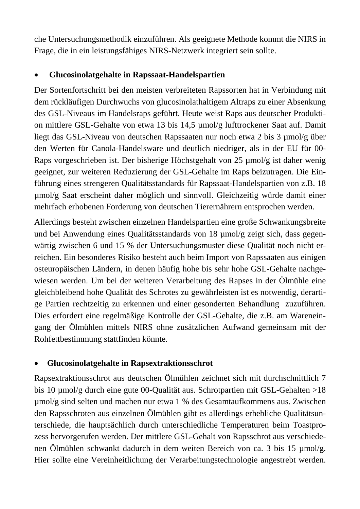che Untersuchungsmethodik einzuführen. Als geeignete Methode kommt die NIRS in Frage, die in ein leistungsfähiges NIRS-Netzwerk integriert sein sollte.

#### • **Glucosinolatgehalte in Rapssaat-Handelspartien**

Der Sortenfortschritt bei den meisten verbreiteten Rapssorten hat in Verbindung mit dem rückläufigen Durchwuchs von glucosinolathaltigem Altraps zu einer Absenkung des GSL-Niveaus im Handelsraps geführt. Heute weist Raps aus deutscher Produktion mittlere GSL-Gehalte von etwa 13 bis 14,5 µmol/g lufttrockener Saat auf. Damit liegt das GSL-Niveau von deutschen Rapssaaten nur noch etwa 2 bis 3 µmol/g über den Werten für Canola-Handelsware und deutlich niedriger, als in der EU für 00- Raps vorgeschrieben ist. Der bisherige Höchstgehalt von 25 µmol/g ist daher wenig geeignet, zur weiteren Reduzierung der GSL-Gehalte im Raps beizutragen. Die Einführung eines strengeren Qualitätsstandards für Rapssaat-Handelspartien von z.B. 18 µmol/g Saat erscheint daher möglich und sinnvoll. Gleichzeitig würde damit einer mehrfach erhobenen Forderung von deutschen Tierernährern entsprochen werden.

Allerdings besteht zwischen einzelnen Handelspartien eine große Schwankungsbreite und bei Anwendung eines Qualitätsstandards von 18 µmol/g zeigt sich, dass gegenwärtig zwischen 6 und 15 % der Untersuchungsmuster diese Qualität noch nicht erreichen. Ein besonderes Risiko besteht auch beim Import von Rapssaaten aus einigen osteuropäischen Ländern, in denen häufig hohe bis sehr hohe GSL-Gehalte nachgewiesen werden. Um bei der weiteren Verarbeitung des Rapses in der Ölmühle eine gleichbleibend hohe Qualität des Schrotes zu gewährleisten ist es notwendig, derartige Partien rechtzeitig zu erkennen und einer gesonderten Behandlung zuzuführen. Dies erfordert eine regelmäßige Kontrolle der GSL-Gehalte, die z.B. am Wareneingang der Ölmühlen mittels NIRS ohne zusätzlichen Aufwand gemeinsam mit der Rohfettbestimmung stattfinden könnte.

#### • **Glucosinolatgehalte in Rapsextraktionsschrot**

Rapsextraktionsschrot aus deutschen Ölmühlen zeichnet sich mit durchschnittlich 7 bis 10 µmol/g durch eine gute 00-Qualität aus. Schrotpartien mit GSL-Gehalten >18 µmol/g sind selten und machen nur etwa 1 % des Gesamtaufkommens aus. Zwischen den Rapsschroten aus einzelnen Ölmühlen gibt es allerdings erhebliche Qualitätsunterschiede, die hauptsächlich durch unterschiedliche Temperaturen beim Toastprozess hervorgerufen werden. Der mittlere GSL-Gehalt von Rapsschrot aus verschiedenen Ölmühlen schwankt dadurch in dem weiten Bereich von ca. 3 bis 15 µmol/g. Hier sollte eine Vereinheitlichung der Verarbeitungstechnologie angestrebt werden.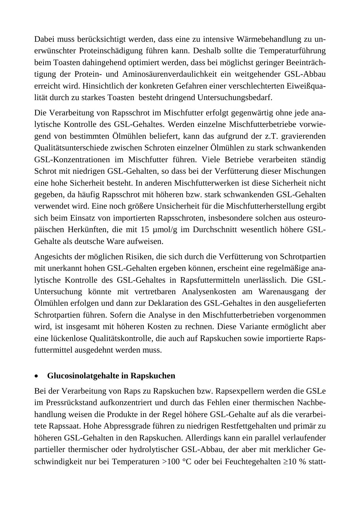Dabei muss berücksichtigt werden, dass eine zu intensive Wärmebehandlung zu unerwünschter Proteinschädigung führen kann. Deshalb sollte die Temperaturführung beim Toasten dahingehend optimiert werden, dass bei möglichst geringer Beeinträchtigung der Protein- und Aminosäurenverdaulichkeit ein weitgehender GSL-Abbau erreicht wird. Hinsichtlich der konkreten Gefahren einer verschlechterten Eiweißqualität durch zu starkes Toasten besteht dringend Untersuchungsbedarf.

Die Verarbeitung von Rapsschrot im Mischfutter erfolgt gegenwärtig ohne jede analytische Kontrolle des GSL-Gehaltes. Werden einzelne Mischfutterbetriebe vorwiegend von bestimmten Ölmühlen beliefert, kann das aufgrund der z.T. gravierenden Qualitätsunterschiede zwischen Schroten einzelner Ölmühlen zu stark schwankenden GSL-Konzentrationen im Mischfutter führen. Viele Betriebe verarbeiten ständig Schrot mit niedrigen GSL-Gehalten, so dass bei der Verfütterung dieser Mischungen eine hohe Sicherheit besteht. In anderen Mischfutterwerken ist diese Sicherheit nicht gegeben, da häufig Rapsschrot mit höheren bzw. stark schwankenden GSL-Gehalten verwendet wird. Eine noch größere Unsicherheit für die Mischfutterherstellung ergibt sich beim Einsatz von importierten Rapsschroten, insbesondere solchen aus osteuropäischen Herkünften, die mit 15 µmol/g im Durchschnitt wesentlich höhere GSL-Gehalte als deutsche Ware aufweisen.

Angesichts der möglichen Risiken, die sich durch die Verfütterung von Schrotpartien mit unerkannt hohen GSL-Gehalten ergeben können, erscheint eine regelmäßige analytische Kontrolle des GSL-Gehaltes in Rapsfuttermitteln unerlässlich. Die GSL-Untersuchung könnte mit vertretbaren Analysenkosten am Warenausgang der Ölmühlen erfolgen und dann zur Deklaration des GSL-Gehaltes in den ausgelieferten Schrotpartien führen. Sofern die Analyse in den Mischfutterbetrieben vorgenommen wird, ist insgesamt mit höheren Kosten zu rechnen. Diese Variante ermöglicht aber eine lückenlose Qualitätskontrolle, die auch auf Rapskuchen sowie importierte Rapsfuttermittel ausgedehnt werden muss.

#### • **Glucosinolatgehalte in Rapskuchen**

Bei der Verarbeitung von Raps zu Rapskuchen bzw. Rapsexpellern werden die GSLe im Pressrückstand aufkonzentriert und durch das Fehlen einer thermischen Nachbehandlung weisen die Produkte in der Regel höhere GSL-Gehalte auf als die verarbeitete Rapssaat. Hohe Abpressgrade führen zu niedrigen Restfettgehalten und primär zu höheren GSL-Gehalten in den Rapskuchen. Allerdings kann ein parallel verlaufender partieller thermischer oder hydrolytischer GSL-Abbau, der aber mit merklicher Geschwindigkeit nur bei Temperaturen >100 °C oder bei Feuchtegehalten ≥10 % statt-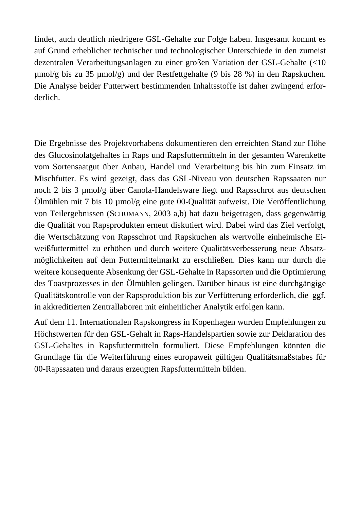findet, auch deutlich niedrigere GSL-Gehalte zur Folge haben. Insgesamt kommt es auf Grund erheblicher technischer und technologischer Unterschiede in den zumeist dezentralen Verarbeitungsanlagen zu einer großen Variation der GSL-Gehalte (<10 µmol/g bis zu 35 µmol/g) und der Restfettgehalte (9 bis 28 %) in den Rapskuchen. Die Analyse beider Futterwert bestimmenden Inhaltsstoffe ist daher zwingend erforderlich.

Die Ergebnisse des Projektvorhabens dokumentieren den erreichten Stand zur Höhe des Glucosinolatgehaltes in Raps und Rapsfuttermitteln in der gesamten Warenkette vom Sortensaatgut über Anbau, Handel und Verarbeitung bis hin zum Einsatz im Mischfutter. Es wird gezeigt, dass das GSL-Niveau von deutschen Rapssaaten nur noch 2 bis 3 µmol/g über Canola-Handelsware liegt und Rapsschrot aus deutschen Ölmühlen mit 7 bis 10 µmol/g eine gute 00-Qualität aufweist. Die Veröffentlichung von Teilergebnissen (SCHUMANN, 2003 a,b) hat dazu beigetragen, dass gegenwärtig die Qualität von Rapsprodukten erneut diskutiert wird. Dabei wird das Ziel verfolgt, die Wertschätzung von Rapsschrot und Rapskuchen als wertvolle einheimische Eiweißfuttermittel zu erhöhen und durch weitere Qualitätsverbesserung neue Absatzmöglichkeiten auf dem Futtermittelmarkt zu erschließen. Dies kann nur durch die weitere konsequente Absenkung der GSL-Gehalte in Rapssorten und die Optimierung des Toastprozesses in den Ölmühlen gelingen. Darüber hinaus ist eine durchgängige Qualitätskontrolle von der Rapsproduktion bis zur Verfütterung erforderlich, die ggf. in akkreditierten Zentrallaboren mit einheitlicher Analytik erfolgen kann.

Auf dem 11. Internationalen Rapskongress in Kopenhagen wurden Empfehlungen zu Höchstwerten für den GSL-Gehalt in Raps-Handelspartien sowie zur Deklaration des GSL-Gehaltes in Rapsfuttermitteln formuliert. Diese Empfehlungen könnten die Grundlage für die Weiterführung eines europaweit gültigen Qualitätsmaßstabes für 00-Rapssaaten und daraus erzeugten Rapsfuttermitteln bilden.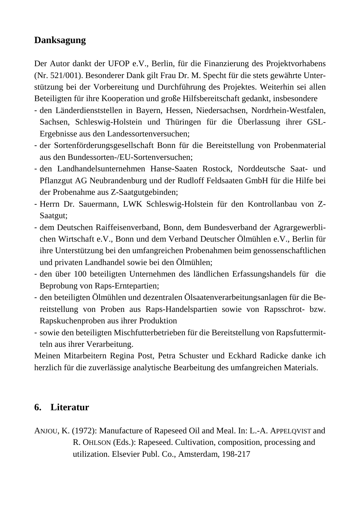# **Danksagung**

Der Autor dankt der UFOP e.V., Berlin, für die Finanzierung des Projektvorhabens (Nr. 521/001). Besonderer Dank gilt Frau Dr. M. Specht für die stets gewährte Unterstützung bei der Vorbereitung und Durchführung des Projektes. Weiterhin sei allen Beteiligten für ihre Kooperation und große Hilfsbereitschaft gedankt, insbesondere

- den Länderdienststellen in Bayern, Hessen, Niedersachsen, Nordrhein-Westfalen, Sachsen, Schleswig-Holstein und Thüringen für die Überlassung ihrer GSL-Ergebnisse aus den Landessortenversuchen;
- der Sortenförderungsgesellschaft Bonn für die Bereitstellung von Probenmaterial aus den Bundessorten-/EU-Sortenversuchen;
- den Landhandelsunternehmen Hanse-Saaten Rostock, Norddeutsche Saat- und Pflanzgut AG Neubrandenburg und der Rudloff Feldsaaten GmbH für die Hilfe bei der Probenahme aus Z-Saatgutgebinden;
- Herrn Dr. Sauermann, LWK Schleswig-Holstein für den Kontrollanbau von Z-Saatgut;
- dem Deutschen Raiffeisenverband, Bonn, dem Bundesverband der Agrargewerblichen Wirtschaft e.V., Bonn und dem Verband Deutscher Ölmühlen e.V., Berlin für ihre Unterstützung bei den umfangreichen Probenahmen beim genossenschaftlichen und privaten Landhandel sowie bei den Ölmühlen;
- den über 100 beteiligten Unternehmen des ländlichen Erfassungshandels für die Beprobung von Raps-Erntepartien;
- den beteiligten Ölmühlen und dezentralen Ölsaatenverarbeitungsanlagen für die Bereitstellung von Proben aus Raps-Handelspartien sowie von Rapsschrot- bzw. Rapskuchenproben aus ihrer Produktion
- sowie den beteiligten Mischfutterbetrieben für die Bereitstellung von Rapsfuttermitteln aus ihrer Verarbeitung.

Meinen Mitarbeitern Regina Post, Petra Schuster und Eckhard Radicke danke ich herzlich für die zuverlässige analytische Bearbeitung des umfangreichen Materials.

#### **6. Literatur**

ANJOU, K. (1972): Manufacture of Rapeseed Oil and Meal. In: L.-A. APPELQVIST and R. OHLSON (Eds.): Rapeseed. Cultivation, composition, processing and utilization. Elsevier Publ. Co., Amsterdam, 198-217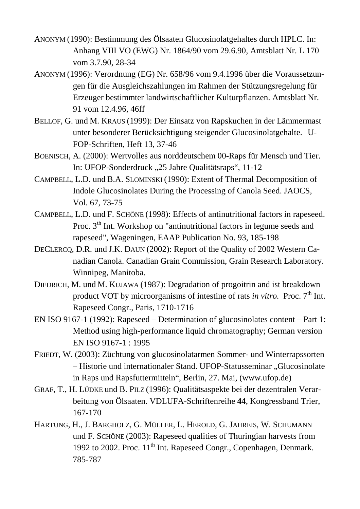- ANONYM (1990): Bestimmung des Ölsaaten Glucosinolatgehaltes durch HPLC. In: Anhang VIII VO (EWG) Nr. 1864/90 vom 29.6.90, Amtsblatt Nr. L 170 vom 3.7.90, 28-34
- ANONYM (1996): Verordnung (EG) Nr. 658/96 vom 9.4.1996 über die Voraussetzungen für die Ausgleichszahlungen im Rahmen der Stützungsregelung für Erzeuger bestimmter landwirtschaftlicher Kulturpflanzen. Amtsblatt Nr. 91 vom 12.4.96, 46ff
- BELLOF, G. und M. KRAUS (1999): Der Einsatz von Rapskuchen in der Lämmermast unter besonderer Berücksichtigung steigender Glucosinolatgehalte. U-FOP-Schriften, Heft 13, 37-46
- BOENISCH, A. (2000): Wertvolles aus norddeutschem 00-Raps für Mensch und Tier. In: UFOP-Sonderdruck "25 Jahre Qualitätsraps", 11-12
- CAMPBELL, L.D. und B.A. SLOMINSKI (1990): Extent of Thermal Decomposition of Indole Glucosinolates During the Processing of Canola Seed. JAOCS, Vol. 67, 73-75
- CAMPBELL, L.D. und F. SCHÖNE (1998): Effects of antinutritional factors in rapeseed. Proc. 3<sup>th</sup> Int. Workshop on "antinutritional factors in legume seeds and rapeseed", Wageningen, EAAP Publication No. 93, 185-198
- DECLERCQ, D.R. und J.K. DAUN (2002): Report of the Quality of 2002 Western Canadian Canola. Canadian Grain Commission, Grain Research Laboratory. Winnipeg, Manitoba.
- DIEDRICH, M. und M. KUJAWA (1987): Degradation of progoitrin and ist breakdown product VOT by microorganisms of intestine of rats *in vitro*. Proc. 7<sup>th</sup> Int. Rapeseed Congr., Paris, 1710-1716
- EN ISO 9167-1 (1992): Rapeseed Determination of glucosinolates content Part 1: Method using high-performance liquid chromatography; German version EN ISO 9167-1 : 1995
- FRIEDT, W. (2003): Züchtung von glucosinolatarmen Sommer- und Winterrapssorten – Historie und internationaler Stand. UFOP-Statusseminar "Glucosinolate in Raps und Rapsfuttermitteln", Berlin, 27. Mai, (www.ufop.de)
- GRAF, T., H. LÜDKE und B. PILZ (1996): Qualitätsaspekte bei der dezentralen Verarbeitung von Ölsaaten. VDLUFA-Schriftenreihe **44**, Kongressband Trier, 167-170
- HARTUNG, H., J. BARGHOLZ, G. MÜLLER, L. HEROLD, G. JAHREIS, W. SCHUMANN und F. SCHÖNE (2003): Rapeseed qualities of Thuringian harvests from 1992 to 2002. Proc.  $11<sup>th</sup>$  Int. Rapeseed Congr., Copenhagen, Denmark. 785-787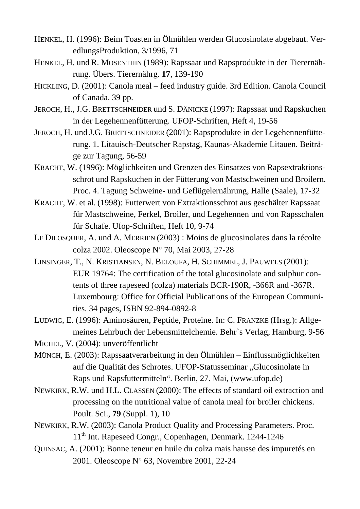- HENKEL, H. (1996): Beim Toasten in Ölmühlen werden Glucosinolate abgebaut. VeredlungsProduktion, 3/1996, 71
- HENKEL, H. und R. MOSENTHIN (1989): Rapssaat und Rapsprodukte in der Tierernährung. Übers. Tierernährg. **17**, 139-190
- HICKLING, D. (2001): Canola meal feed industry guide. 3rd Edition. Canola Council of Canada. 39 pp.
- JEROCH, H., J.G. BRETTSCHNEIDER und S. DÄNICKE (1997): Rapssaat und Rapskuchen in der Legehennenfütterung. UFOP-Schriften, Heft 4, 19-56
- JEROCH, H. und J.G. BRETTSCHNEIDER (2001): Rapsprodukte in der Legehennenfütterung. 1. Litauisch-Deutscher Rapstag, Kaunas-Akademie Litauen. Beiträge zur Tagung, 56-59
- KRACHT, W. (1996): Möglichkeiten und Grenzen des Einsatzes von Rapsextraktionsschrot und Rapskuchen in der Fütterung von Mastschweinen und Broilern. Proc. 4. Tagung Schweine- und Geflügelernährung, Halle (Saale), 17-32
- KRACHT, W. et al. (1998): Futterwert von Extraktionsschrot aus geschälter Rapssaat für Mastschweine, Ferkel, Broiler, und Legehennen und von Rapsschalen für Schafe. Ufop-Schriften, Heft 10, 9-74
- LE DILOSQUER, A. und A. MERRIEN (2003) : Moins de glucosinolates dans la récolte colza 2002. Oleoscope N° 70, Mai 2003, 27-28
- LINSINGER, T., N. KRISTIANSEN, N. BELOUFA, H. SCHIMMEL, J. PAUWELS (2001): EUR 19764: The certification of the total glucosinolate and sulphur contents of three rapeseed (colza) materials BCR-190R, -366R and -367R. Luxembourg: Office for Official Publications of the European Communities. 34 pages, ISBN 92-894-0892-8
- LUDWIG, E. (1996): Aminosäuren, Peptide, Proteine. In: C. FRANZKE (Hrsg.): Allgemeines Lehrbuch der Lebensmittelchemie. Behr`s Verlag, Hamburg, 9-56
- MICHEL, V. (2004): unveröffentlicht
- MÜNCH, E. (2003): Rapssaatverarbeitung in den Ölmühlen Einflussmöglichkeiten auf die Qualität des Schrotes. UFOP-Statusseminar "Glucosinolate in Raps und Rapsfuttermitteln". Berlin, 27. Mai, (www.ufop.de)
- NEWKIRK, R.W. und H.L. CLASSEN (2000): The effects of standard oil extraction and processing on the nutritional value of canola meal for broiler chickens. Poult. Sci., **79** (Suppl. 1), 10
- NEWKIRK, R.W. (2003): Canola Product Quality and Processing Parameters. Proc. 11th Int. Rapeseed Congr., Copenhagen, Denmark. 1244-1246
- QUINSAC, A. (2001): Bonne teneur en huile du colza mais hausse des impuretés en 2001. Oleoscope N° 63, Novembre 2001, 22-24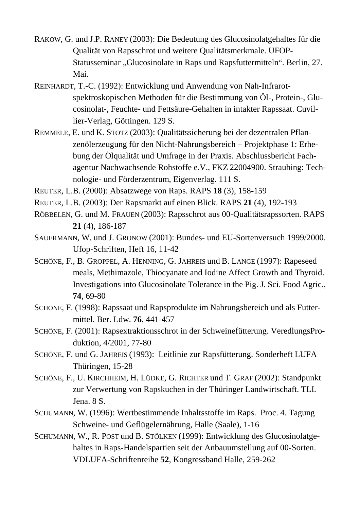- RAKOW, G. und J.P. RANEY (2003): Die Bedeutung des Glucosinolatgehaltes für die Qualität von Rapsschrot und weitere Qualitätsmerkmale. UFOP-Statusseminar "Glucosinolate in Raps und Rapsfuttermitteln". Berlin, 27. Mai.
- REINHARDT, T.-C. (1992): Entwicklung und Anwendung von Nah-Infrarotspektroskopischen Methoden für die Bestimmung von Öl-, Protein-, Glucosinolat-, Feuchte- und Fettsäure-Gehalten in intakter Rapssaat. Cuvillier-Verlag, Göttingen. 129 S.
- REMMELE, E. und K. STOTZ (2003): Qualitätssicherung bei der dezentralen Pflanzenölerzeugung für den Nicht-Nahrungsbereich – Projektphase 1: Erhebung der Ölqualität und Umfrage in der Praxis. Abschlussbericht Fachagentur Nachwachsende Rohstoffe e.V., FKZ 22004900. Straubing: Technologie- und Förderzentrum, Eigenverlag. 111 S.
- REUTER, L.B. (2000): Absatzwege von Raps. RAPS **18** (3), 158-159
- REUTER, L.B. (2003): Der Rapsmarkt auf einen Blick. RAPS **21** (4), 192-193
- RÖBBELEN, G. und M. FRAUEN (2003): Rapsschrot aus 00-Qualitätsrapssorten. RAPS **21** (4), 186-187
- SAUERMANN, W. und J. GRONOW (2001): Bundes- und EU-Sortenversuch 1999/2000. Ufop-Schriften, Heft 16, 11-42
- SCHÖNE, F., B. GROPPEL, A. HENNING, G. JAHREIS und B. LANGE (1997): Rapeseed meals, Methimazole, Thiocyanate and Iodine Affect Growth and Thyroid. Investigations into Glucosinolate Tolerance in the Pig. J. Sci. Food Agric., **74**, 69-80
- SCHÖNE, F. (1998): Rapssaat und Rapsprodukte im Nahrungsbereich und als Futtermittel. Ber. Ldw. **76**, 441-457
- SCHÖNE, F. (2001): Rapsextraktionsschrot in der Schweinefütterung. VeredlungsProduktion, 4/2001, 77-80
- SCHÖNE, F. und G. JAHREIS (1993): Leitlinie zur Rapsfütterung. Sonderheft LUFA Thüringen, 15-28
- SCHÖNE, F., U. KIRCHHEIM, H. LÜDKE, G. RICHTER und T. GRAF (2002): Standpunkt zur Verwertung von Rapskuchen in der Thüringer Landwirtschaft. TLL Jena. 8 S.
- SCHUMANN, W. (1996): Wertbestimmende Inhaltsstoffe im Raps. Proc. 4. Tagung Schweine- und Geflügelernährung, Halle (Saale), 1-16
- SCHUMANN, W., R. POST und B. STÖLKEN (1999): Entwicklung des Glucosinolatgehaltes in Raps-Handelspartien seit der Anbauumstellung auf 00-Sorten. VDLUFA-Schriftenreihe **52**, Kongressband Halle, 259-262